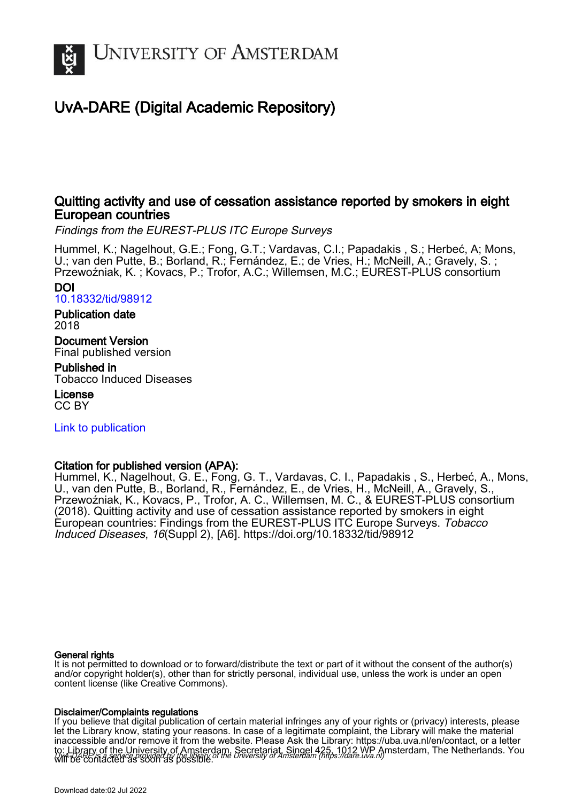

# UvA-DARE (Digital Academic Repository)

# Quitting activity and use of cessation assistance reported by smokers in eight European countries

Findings from the EUREST-PLUS ITC Europe Surveys

Hummel, K.; Nagelhout, G.E.; Fong, G.T.; Vardavas, C.I.; Papadakis , S.; Herbeć, A; Mons, U.; van den Putte, B.; Borland, R.; Fernández, E.; de Vries, H.; McNeill, A.; Gravely, S. ; Przewoźniak, K. ; Kovacs, P.; Trofor, A.C.; Willemsen, M.C.; EUREST-PLUS consortium

DOI

[10.18332/tid/98912](https://doi.org/10.18332/tid/98912)

Publication date 2018

Document Version Final published version

Published in Tobacco Induced Diseases

License CC BY

[Link to publication](https://dare.uva.nl/personal/pure/en/publications/quitting-activity-and-use-of-cessation-assistance-reported-by-smokers-in-eight-european-countries(80e99979-4968-44a4-bc86-699929cb1a6c).html)

# Citation for published version (APA):

Hummel, K., Nagelhout, G. E., Fong, G. T., Vardavas, C. I., Papadakis, S., Herbeć, A., Mons, U., van den Putte, B., Borland, R., Fernández, E., de Vries, H., McNeill, A., Gravely, S., Przewoźniak, K., Kovacs, P., Trofor, A. C., Willemsen, M. C., & EUREST-PLUS consortium (2018). Quitting activity and use of cessation assistance reported by smokers in eight European countries: Findings from the EUREST-PLUS ITC Europe Surveys. Tobacco Induced Diseases, 16(Suppl 2), [A6]. <https://doi.org/10.18332/tid/98912>

### General rights

It is not permitted to download or to forward/distribute the text or part of it without the consent of the author(s) and/or copyright holder(s), other than for strictly personal, individual use, unless the work is under an open content license (like Creative Commons).

### Disclaimer/Complaints regulations

UvA-DARE is a service provided by the library of the University of Amsterdam (http*s*://dare.uva.nl) If you believe that digital publication of certain material infringes any of your rights or (privacy) interests, please let the Library know, stating your reasons. In case of a legitimate complaint, the Library will make the material inaccessible and/or remove it from the website. Please Ask the Library: https://uba.uva.nl/en/contact, or a letter to: Library of the University of Amsterdam, Secretariat, Singel 425, 1012 WP Amsterdam, The Netherlands. You will be contacted as soon as possible.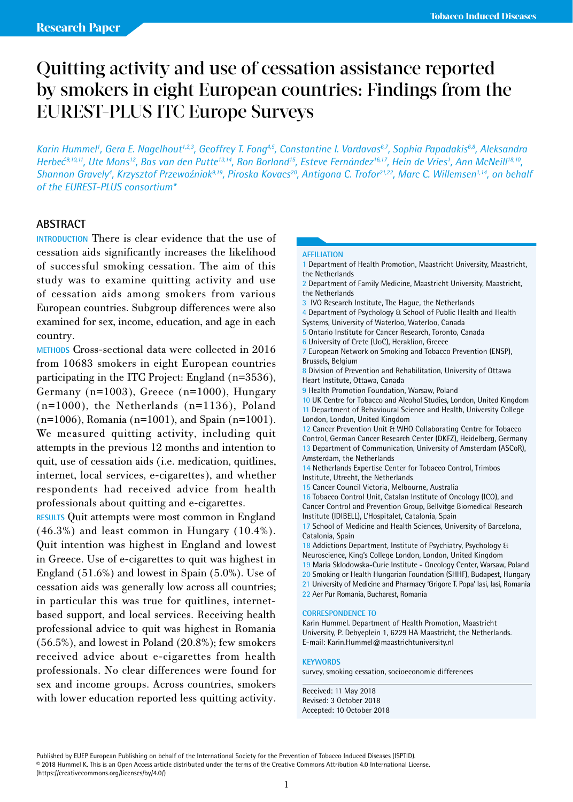# Quitting activity and use of cessation assistance reported by smokers in eight European countries: Findings from the EUREST-PLUS ITC Europe Surveys

Karin Hummel', Gera E. Nagelhout<sup>1,2,3</sup>, Geoffrey T. Fong<sup>4,5</sup>, Constantine I. Vardavas<sup>6,7</sup>, Sophia Papadakis<sup>6,8</sup>, Aleksandra Herbeć<sup>9,10,11</sup>, Ute Mons<sup>12</sup>, Bas van den Putte<sup>13,14</sup>, Ron Borland<sup>15</sup>, Esteve Fernández<sup>16,17</sup>, Hein de Vries<sup>1</sup>, Ann McNeill<sup>18,10</sup>, *Shannon Gravely4 , Krzysztof Przewo*ź*niak9,19, Piroska Kovacs20, Antigona C. Trofor21,22, Marc C. Willemsen1,14, on behalf of the EUREST-PLUS consortium\** 

# **ABSTRACT**

**INTRODUCTION** There is clear evidence that the use of cessation aids significantly increases the likelihood of successful smoking cessation. The aim of this study was to examine quitting activity and use of cessation aids among smokers from various European countries. Subgroup differences were also examined for sex, income, education, and age in each country.

**METHODS** Cross-sectional data were collected in 2016 from 10683 smokers in eight European countries participating in the ITC Project: England (n=3536), Germany (n=1003), Greece (n=1000), Hungary (n=1000), the Netherlands (n=1136), Poland (n=1006), Romania (n=1001), and Spain (n=1001). We measured quitting activity, including quit attempts in the previous 12 months and intention to quit, use of cessation aids (i.e. medication, quitlines, internet, local services, e-cigarettes), and whether respondents had received advice from health professionals about quitting and e-cigarettes.

**RESULTS** Quit attempts were most common in England (46.3%) and least common in Hungary (10.4%). Quit intention was highest in England and lowest in Greece. Use of e-cigarettes to quit was highest in England (51.6%) and lowest in Spain (5.0%). Use of cessation aids was generally low across all countries; in particular this was true for quitlines, internetbased support, and local services. Receiving health professional advice to quit was highest in Romania (56.5%), and lowest in Poland (20.8%); few smokers received advice about e-cigarettes from health professionals. No clear differences were found for sex and income groups. Across countries, smokers with lower education reported less quitting activity.

### **AFFILIATION**

1 Department of Health Promotion, Maastricht University, Maastricht, the Netherlands

- 2 Department of Family Medicine, Maastricht University, Maastricht, the Netherlands
- 3 IVO Research Institute, The Hague, the Netherlands

4 Department of Psychology & School of Public Health and Health

Systems, University of Waterloo, Waterloo, Canada

5 Ontario Institute for Cancer Research, Toronto, Canada

6 University of Crete (UoC), Heraklion, Greece

7 European Network on Smoking and Tobacco Prevention (ENSP), Brussels, Belgium

8 Division of Prevention and Rehabilitation, University of Ottawa Heart Institute, Ottawa, Canada

9 Health Promotion Foundation, Warsaw, Poland

10 UK Centre for Tobacco and Alcohol Studies, London, United Kingdom 11 Department of Behavioural Science and Health, University College London, London, United Kingdom

12 Cancer Prevention Unit & WHO Collaborating Centre for Tobacco Control, German Cancer Research Center (DKFZ), Heidelberg, Germany 13 Department of Communication, University of Amsterdam (ASCoR), Amsterdam, the Netherlands

14 Netherlands Expertise Center for Tobacco Control, Trimbos Institute, Utrecht, the Netherlands

15 Cancer Council Victoria, Melbourne, Australia

16 Tobacco Control Unit, Catalan Institute of Oncology (ICO), and Cancer Control and Prevention Group, Bellvitge Biomedical Research Institute (IDIBELL), L'Hospitalet, Catalonia, Spain

17 School of Medicine and Health Sciences, University of Barcelona, Catalonia, Spain

18 Addictions Department, Institute of Psychiatry, Psychology &

Neuroscience, King's College London, London, United Kingdom 19 Maria Sklodowska-Curie Institute - Oncology Center, Warsaw, Poland

20 Smoking or Health Hungarian Foundation (SHHF), Budapest, Hungary

21 University of Medicine and Pharmacy 'Grigore T. Popa' Iasi, Iasi, Romania

22 Aer Pur Romania, Bucharest, Romania

### **CORRESPONDENCE TO**

Karin Hummel. Department of Health Promotion, Maastricht University, P. Debyeplein 1, 6229 HA Maastricht, the Netherlands. E-mail: Karin.Hummel@maastrichtuniversity.nl

#### **KEYWORDS**

survey, smoking cessation, socioeconomic differences

Received: 11 May 2018 Revised: 3 October 2018 Accepted: 10 October 2018

Published by EUEP European Publishing on behalf of the International Society for the Prevention of Tobacco Induced Diseases (ISPTID). © 2018 Hummel K. This is an Open Access article distributed under the terms of the Creative Commons Attribution 4.0 International License. (https://creativecommons.org/licenses/by/4.0/)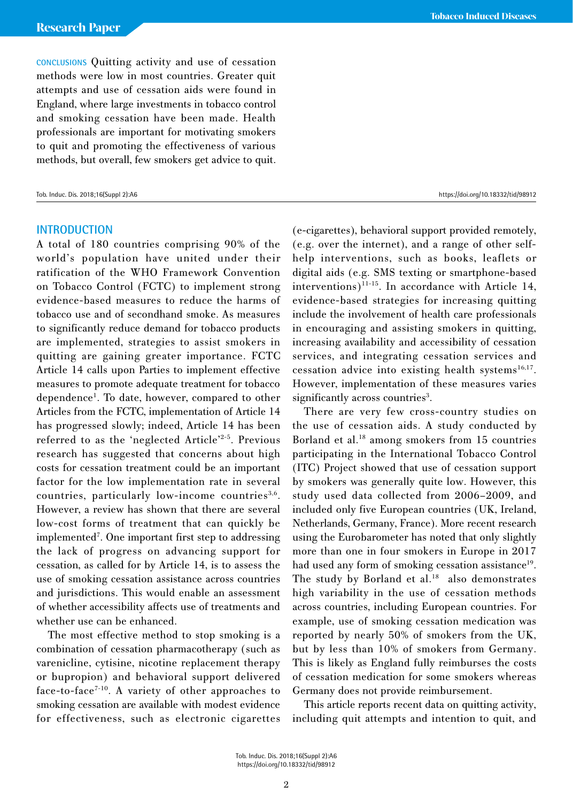**CONCLUSIONS** Quitting activity and use of cessation methods were low in most countries. Greater quit attempts and use of cessation aids were found in England, where large investments in tobacco control and smoking cessation have been made. Health professionals are important for motivating smokers to quit and promoting the effectiveness of various methods, but overall, few smokers get advice to quit.

### **INTRODUCTION**

A total of 180 countries comprising 90% of the world's population have united under their ratification of the WHO Framework Convention on Tobacco Control (FCTC) to implement strong evidence-based measures to reduce the harms of tobacco use and of secondhand smoke. As measures to significantly reduce demand for tobacco products are implemented, strategies to assist smokers in quitting are gaining greater importance. FCTC Article 14 calls upon Parties to implement effective measures to promote adequate treatment for tobacco dependence<sup>1</sup>. To date, however, compared to other Articles from the FCTC, implementation of Article 14 has progressed slowly; indeed, Article 14 has been referred to as the 'neglected Article'2-5. Previous research has suggested that concerns about high costs for cessation treatment could be an important factor for the low implementation rate in several countries, particularly low-income countries<sup>3,6</sup>. However, a review has shown that there are several low-cost forms of treatment that can quickly be implemented<sup>7</sup>. One important first step to addressing the lack of progress on advancing support for cessation, as called for by Article 14, is to assess the use of smoking cessation assistance across countries and jurisdictions. This would enable an assessment of whether accessibility affects use of treatments and whether use can be enhanced.

The most effective method to stop smoking is a combination of cessation pharmacotherapy (such as varenicline, cytisine, nicotine replacement therapy or bupropion) and behavioral support delivered face-to-face<sup>7-10</sup>. A variety of other approaches to smoking cessation are available with modest evidence for effectiveness, such as electronic cigarettes

(e-cigarettes), behavioral support provided remotely, (e.g. over the internet), and a range of other selfhelp interventions, such as books, leaflets or digital aids (e.g. SMS texting or smartphone-based interventions)<sup>11-15</sup>. In accordance with Article 14, evidence-based strategies for increasing quitting include the involvement of health care professionals in encouraging and assisting smokers in quitting, increasing availability and accessibility of cessation services, and integrating cessation services and cessation advice into existing health systems $^{16,17}$ . However, implementation of these measures varies significantly across countries<sup>3</sup>.

There are very few cross-country studies on the use of cessation aids. A study conducted by Borland et al.<sup>18</sup> among smokers from 15 countries participating in the International Tobacco Control (ITC) Project showed that use of cessation support by smokers was generally quite low. However, this study used data collected from 2006–2009, and included only five European countries (UK, Ireland, Netherlands, Germany, France). More recent research using the Eurobarometer has noted that only slightly more than one in four smokers in Europe in 2017 had used any form of smoking cessation assistance<sup>19</sup>. The study by Borland et al.<sup>18</sup> also demonstrates high variability in the use of cessation methods across countries, including European countries. For example, use of smoking cessation medication was reported by nearly 50% of smokers from the UK, but by less than 10% of smokers from Germany. This is likely as England fully reimburses the costs of cessation medication for some smokers whereas Germany does not provide reimbursement.

This article reports recent data on quitting activity, including quit attempts and intention to quit, and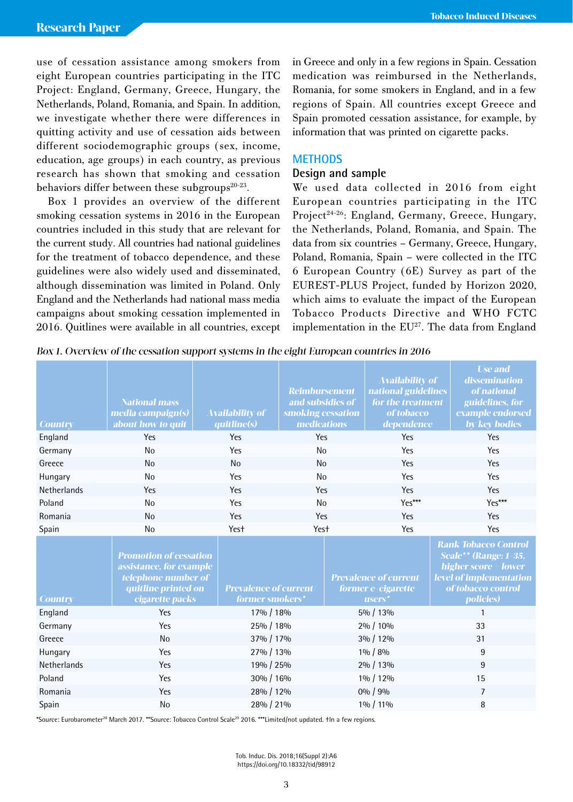use of cessation assistance among smokers from eight European countries participating in the ITC Project: England, Germany, Greece, Hungary, the Netherlands, Poland, Romania, and Spain. In addition, we investigate whether there were differences in quitting activity and use of cessation aids between different sociodemographic groups (sex, income, education, age groups) in each country, as previous research has shown that smoking and cessation behaviors differ between these subgroups<sup>20-23</sup>.

Box 1 provides an overview of the different smoking cessation systems in 2016 in the European countries included in this study that are relevant for the current study. All countries had national guidelines for the treatment of tobacco dependence, and these guidelines were also widely used and disseminated, although dissemination was limited in Poland. Only England and the Netherlands had national mass media campaigns about smoking cessation implemented in 2016. Quitlines were available in all countries, except

in Greece and only in a few regions in Spain. Cessation medication was reimbursed in the Netherlands, Romania, for some smokers in England, and in a few regions of Spain. All countries except Greece and Spain promoted cessation assistance, for example, by information that was printed on cigarette packs.

### **METHODS**

### **Design and sample**

We used data collected in 2016 from eight European countries participating in the ITC Project<sup>24-26</sup>: England, Germany, Greece, Hungary, the Netherlands, Poland, Romania, and Spain. The data from six countries – Germany, Greece, Hungary, Poland, Romania, Spain – were collected in the ITC 6 European Country (6E) Survey as part of the EUREST-PLUS Project, funded by Horizon 2020, which aims to evaluate the impact of the European Tobacco Products Directive and WHO FCTC implementation in the  $EU^{27}$ . The data from England

Box 1. Overview of the cessation support systems in the eight European countries in 2016

|                   |                                           |                                                                                                                                  |                                                                                                                                                         |                                                                                                                       | <b>Use and</b>                                                                                                                                                                                                                                    |
|-------------------|-------------------------------------------|----------------------------------------------------------------------------------------------------------------------------------|---------------------------------------------------------------------------------------------------------------------------------------------------------|-----------------------------------------------------------------------------------------------------------------------|---------------------------------------------------------------------------------------------------------------------------------------------------------------------------------------------------------------------------------------------------|
|                   |                                           |                                                                                                                                  |                                                                                                                                                         |                                                                                                                       | dissemination<br>of national                                                                                                                                                                                                                      |
|                   |                                           |                                                                                                                                  |                                                                                                                                                         |                                                                                                                       | guidelines, for                                                                                                                                                                                                                                   |
|                   |                                           |                                                                                                                                  |                                                                                                                                                         |                                                                                                                       | example endorsed                                                                                                                                                                                                                                  |
| about how to quit | quitline(s)                               |                                                                                                                                  |                                                                                                                                                         | dependence                                                                                                            | by key bodies                                                                                                                                                                                                                                     |
| Yes               | Yes                                       |                                                                                                                                  |                                                                                                                                                         | Yes                                                                                                                   | Yes                                                                                                                                                                                                                                               |
| <b>No</b>         | Yes                                       | <b>No</b>                                                                                                                        |                                                                                                                                                         | Yes                                                                                                                   | Yes                                                                                                                                                                                                                                               |
| N <sub>0</sub>    | <b>No</b>                                 | <b>No</b>                                                                                                                        |                                                                                                                                                         | Yes                                                                                                                   | Yes                                                                                                                                                                                                                                               |
| No                | Yes                                       | <b>No</b>                                                                                                                        |                                                                                                                                                         | Yes                                                                                                                   | Yes                                                                                                                                                                                                                                               |
| Yes               | Yes                                       |                                                                                                                                  |                                                                                                                                                         | Yes                                                                                                                   | Yes                                                                                                                                                                                                                                               |
| <b>No</b>         | Yes                                       | <b>No</b>                                                                                                                        |                                                                                                                                                         | Yes***                                                                                                                | Yes***                                                                                                                                                                                                                                            |
| <b>No</b>         | Yes                                       |                                                                                                                                  |                                                                                                                                                         | Yes                                                                                                                   | Yes                                                                                                                                                                                                                                               |
| N <sub>o</sub>    | Yes <sup>+</sup>                          |                                                                                                                                  |                                                                                                                                                         | Yes                                                                                                                   | Yes                                                                                                                                                                                                                                               |
|                   |                                           |                                                                                                                                  |                                                                                                                                                         |                                                                                                                       | <b>Rank Tobacco Control</b><br><b>Scale**</b> (Range: 1-35,<br>higher score = lower<br>level of implementation                                                                                                                                    |
|                   |                                           |                                                                                                                                  |                                                                                                                                                         |                                                                                                                       | of tobacco control                                                                                                                                                                                                                                |
| cigarette packs   |                                           |                                                                                                                                  |                                                                                                                                                         |                                                                                                                       | <i>policies)</i>                                                                                                                                                                                                                                  |
| Yes               |                                           |                                                                                                                                  |                                                                                                                                                         |                                                                                                                       | 1                                                                                                                                                                                                                                                 |
| Yes               |                                           |                                                                                                                                  |                                                                                                                                                         |                                                                                                                       | 33                                                                                                                                                                                                                                                |
| N <sub>0</sub>    |                                           |                                                                                                                                  |                                                                                                                                                         |                                                                                                                       | 31                                                                                                                                                                                                                                                |
| Yes               |                                           |                                                                                                                                  |                                                                                                                                                         |                                                                                                                       | 9                                                                                                                                                                                                                                                 |
| Yes               |                                           |                                                                                                                                  |                                                                                                                                                         |                                                                                                                       | 9                                                                                                                                                                                                                                                 |
| Yes               |                                           |                                                                                                                                  |                                                                                                                                                         |                                                                                                                       | 15                                                                                                                                                                                                                                                |
| Yes               |                                           |                                                                                                                                  |                                                                                                                                                         |                                                                                                                       | $\overline{7}$                                                                                                                                                                                                                                    |
| <b>No</b>         |                                           |                                                                                                                                  |                                                                                                                                                         |                                                                                                                       | 8                                                                                                                                                                                                                                                 |
|                   | <b>National mass</b><br>media campaign(s) | <b>Availability of</b><br><b>Promotion of cessation</b><br>assistance, for example<br>telephone number of<br>quitline printed on | <b>Prevalence of current</b><br>former smokers*<br>17% / 18%<br>25% / 18%<br>37% / 17%<br>27% / 13%<br>19% / 25%<br>30% / 16%<br>28% / 12%<br>28% / 21% | <b>Reimbursement</b><br>and subsidies of<br>smoking cessation<br>medications<br>Yes<br>Yes<br>Yes<br>Yes <sup>+</sup> | Availability of<br>national guidelines<br>for the treatment<br>of tobacco<br><b>Prevalence of current</b><br>former e-cigarette<br><b>users</b><br>5% / 13%<br>2% / 10%<br>3% / 12%<br>$1\% / 8\%$<br>2% / 13%<br>1% / 12%<br>0% / 9%<br>1% / 11% |

\*Source: Eurobarometer28 March 2017. \*\*Source: Tobacco Control Scale29 2016. \*\*\*Limited/not updated. †In a few regions.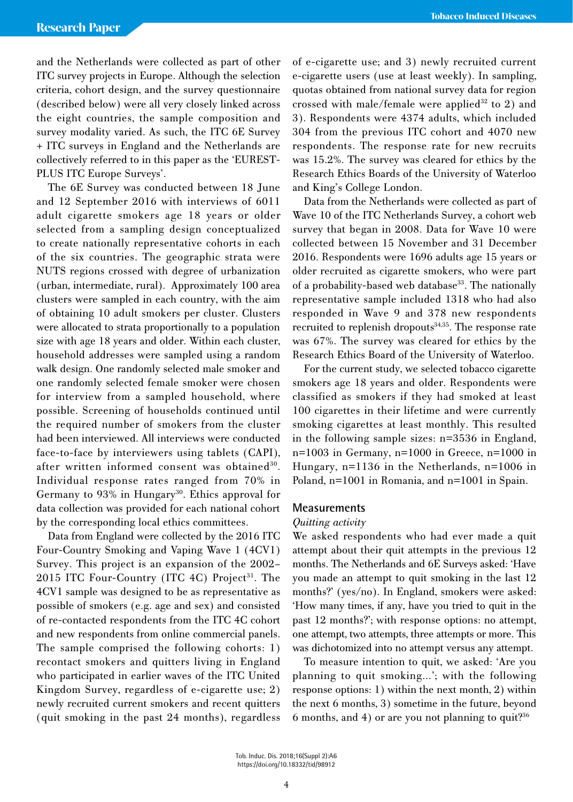and the Netherlands were collected as part of other ITC survey projects in Europe. Although the selection criteria, cohort design, and the survey questionnaire (described below) were all very closely linked across the eight countries, the sample composition and survey modality varied. As such, the ITC 6E Survey + ITC surveys in England and the Netherlands are collectively referred to in this paper as the 'EUREST-PLUS ITC Europe Surveys'.

The 6E Survey was conducted between 18 June and 12 September 2016 with interviews of 6011 adult cigarette smokers age 18 years or older selected from a sampling design conceptualized to create nationally representative cohorts in each of the six countries. The geographic strata were NUTS regions crossed with degree of urbanization (urban, intermediate, rural). Approximately 100 area clusters were sampled in each country, with the aim of obtaining 10 adult smokers per cluster. Clusters were allocated to strata proportionally to a population size with age 18 years and older. Within each cluster, household addresses were sampled using a random walk design. One randomly selected male smoker and one randomly selected female smoker were chosen for interview from a sampled household, where possible. Screening of households continued until the required number of smokers from the cluster had been interviewed. All interviews were conducted face-to-face by interviewers using tablets (CAPI), after written informed consent was obtained<sup>30</sup>. Individual response rates ranged from 70% in Germany to 93% in Hungary<sup>30</sup>. Ethics approval for data collection was provided for each national cohort by the corresponding local ethics committees.

Data from England were collected by the 2016 ITC Four-Country Smoking and Vaping Wave 1 (4CV1) Survey. This project is an expansion of the 2002– 2015 ITC Four-Country (ITC 4C) Project<sup>31</sup>. The 4CV1 sample was designed to be as representative as possible of smokers (e.g. age and sex) and consisted of re-contacted respondents from the ITC 4C cohort and new respondents from online commercial panels. The sample comprised the following cohorts: 1) recontact smokers and quitters living in England who participated in earlier waves of the ITC United Kingdom Survey, regardless of e-cigarette use; 2) newly recruited current smokers and recent quitters (quit smoking in the past 24 months), regardless of e-cigarette use; and 3) newly recruited current e-cigarette users (use at least weekly). In sampling, quotas obtained from national survey data for region crossed with male/female were applied<sup>32</sup> to 2) and 3). Respondents were 4374 adults, which included 304 from the previous ITC cohort and 4070 new respondents. The response rate for new recruits was 15.2%. The survey was cleared for ethics by the Research Ethics Boards of the University of Waterloo and King's College London.

Data from the Netherlands were collected as part of Wave 10 of the ITC Netherlands Survey, a cohort web survey that began in 2008. Data for Wave 10 were collected between 15 November and 31 December 2016. Respondents were 1696 adults age 15 years or older recruited as cigarette smokers, who were part of a probability-based web database<sup>33</sup>. The nationally representative sample included 1318 who had also responded in Wave 9 and 378 new respondents recruited to replenish dropouts<sup>34,35</sup>. The response rate was 67%. The survey was cleared for ethics by the Research Ethics Board of the University of Waterloo.

For the current study, we selected tobacco cigarette smokers age 18 years and older. Respondents were classified as smokers if they had smoked at least 100 cigarettes in their lifetime and were currently smoking cigarettes at least monthly. This resulted in the following sample sizes: n=3536 in England, n=1003 in Germany, n=1000 in Greece, n=1000 in Hungary, n=1136 in the Netherlands, n=1006 in Poland, n=1001 in Romania, and n=1001 in Spain.

### **Measurements**

### *Quitting activity*

We asked respondents who had ever made a quit attempt about their quit attempts in the previous 12 months. The Netherlands and 6E Surveys asked: 'Have you made an attempt to quit smoking in the last 12 months?' (yes/no). In England, smokers were asked: 'How many times, if any, have you tried to quit in the past 12 months?'; with response options: no attempt, one attempt, two attempts, three attempts or more. This was dichotomized into no attempt versus any attempt.

To measure intention to quit, we asked: 'Are you planning to quit smoking…'; with the following response options: 1) within the next month, 2) within the next 6 months, 3) sometime in the future, beyond 6 months, and 4) or are you not planning to quit?<sup>36</sup>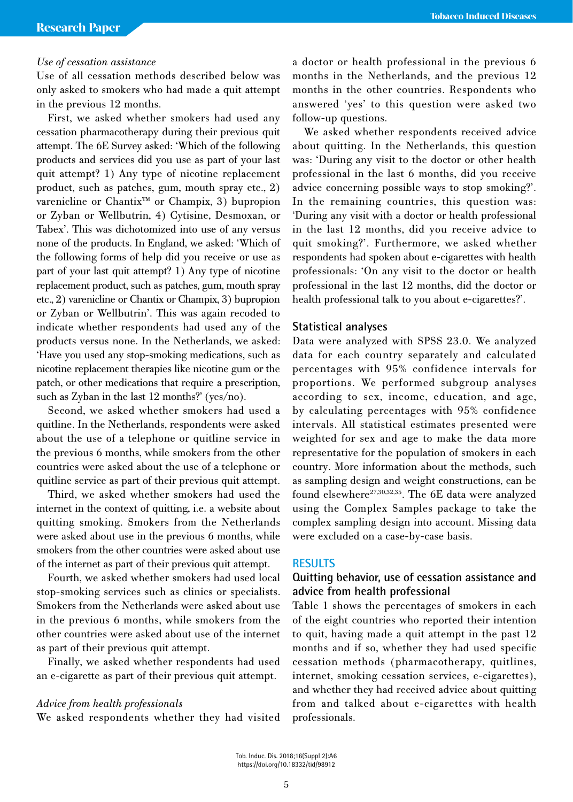### *Use of cessation assistance*

Use of all cessation methods described below was only asked to smokers who had made a quit attempt in the previous 12 months.

First, we asked whether smokers had used any cessation pharmacotherapy during their previous quit attempt. The 6E Survey asked: 'Which of the following products and services did you use as part of your last quit attempt? 1) Any type of nicotine replacement product, such as patches, gum, mouth spray etc., 2) varenicline or Chantix™ or Champix, 3) bupropion or Zyban or Wellbutrin, 4) Cytisine, Desmoxan, or Tabex'. This was dichotomized into use of any versus none of the products. In England, we asked: 'Which of the following forms of help did you receive or use as part of your last quit attempt? 1) Any type of nicotine replacement product, such as patches, gum, mouth spray etc., 2) varenicline or Chantix or Champix, 3) bupropion or Zyban or Wellbutrin'. This was again recoded to indicate whether respondents had used any of the products versus none. In the Netherlands, we asked: 'Have you used any stop-smoking medications, such as nicotine replacement therapies like nicotine gum or the patch, or other medications that require a prescription, such as Zyban in the last 12 months?' (yes/no).

Second, we asked whether smokers had used a quitline. In the Netherlands, respondents were asked about the use of a telephone or quitline service in the previous 6 months, while smokers from the other countries were asked about the use of a telephone or quitline service as part of their previous quit attempt.

Third, we asked whether smokers had used the internet in the context of quitting, i.e. a website about quitting smoking. Smokers from the Netherlands were asked about use in the previous 6 months, while smokers from the other countries were asked about use of the internet as part of their previous quit attempt.

Fourth, we asked whether smokers had used local stop-smoking services such as clinics or specialists. Smokers from the Netherlands were asked about use in the previous 6 months, while smokers from the other countries were asked about use of the internet as part of their previous quit attempt.

Finally, we asked whether respondents had used an e-cigarette as part of their previous quit attempt.

### *Advice from health professionals*

We asked respondents whether they had visited

a doctor or health professional in the previous 6 months in the Netherlands, and the previous 12 months in the other countries. Respondents who answered 'yes' to this question were asked two follow-up questions.

We asked whether respondents received advice about quitting. In the Netherlands, this question was: 'During any visit to the doctor or other health professional in the last 6 months, did you receive advice concerning possible ways to stop smoking?'. In the remaining countries, this question was: 'During any visit with a doctor or health professional in the last 12 months, did you receive advice to quit smoking?'. Furthermore, we asked whether respondents had spoken about e-cigarettes with health professionals: 'On any visit to the doctor or health professional in the last 12 months, did the doctor or health professional talk to you about e-cigarettes?'.

### **Statistical analyses**

Data were analyzed with SPSS 23.0. We analyzed data for each country separately and calculated percentages with 95% confidence intervals for proportions. We performed subgroup analyses according to sex, income, education, and age, by calculating percentages with 95% confidence intervals. All statistical estimates presented were weighted for sex and age to make the data more representative for the population of smokers in each country. More information about the methods, such as sampling design and weight constructions, can be found elsewhere<sup>27,30,32,35</sup>. The 6E data were analyzed using the Complex Samples package to take the complex sampling design into account. Missing data were excluded on a case-by-case basis.

### **RESULTS**

# **Quitting behavior, use of cessation assistance and advice from health professional**

Table 1 shows the percentages of smokers in each of the eight countries who reported their intention to quit, having made a quit attempt in the past 12 months and if so, whether they had used specific cessation methods (pharmacotherapy, quitlines, internet, smoking cessation services, e-cigarettes), and whether they had received advice about quitting from and talked about e-cigarettes with health professionals.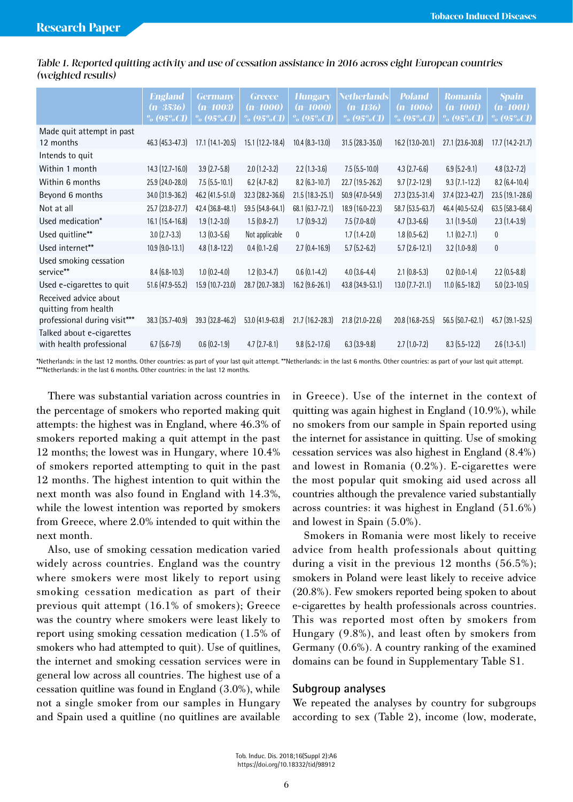|                                                                               | <b>England</b><br>$(n=3536)$<br>% $(95\%CI)$ | <b>Germany</b><br>$(n=1003)$<br>% (95%CI) | <b>Greece</b><br>(n=1000)<br>% $(95\%CI)$ | <b>Hungary</b><br>$(n=1000)$<br>% (95%CI) | <b>Netherlands</b><br>$(n=1136)$<br>% $(95\%$ CI) | <b>Poland</b><br>$(n=1006)$<br>$\%$ (95%CI) | <b>Romania</b><br>(n=1001)<br>% $(95\%CI)$ | <b>Spain</b><br>(n=1001)<br>% (95%CI) |
|-------------------------------------------------------------------------------|----------------------------------------------|-------------------------------------------|-------------------------------------------|-------------------------------------------|---------------------------------------------------|---------------------------------------------|--------------------------------------------|---------------------------------------|
| Made quit attempt in past<br>12 months                                        | $46.3$ (45.3-47.3)                           | $17.1(14.1 - 20.5)$                       | 15.1 (12.2-18.4)                          | $10.4$ $(8.3 - 13.0)$                     | $31.5(28.3 - 35.0)$                               | $16.2$ (13.0-20.1)                          | $27.1$ (23.6-30.8)                         | $17.7(14.2 - 21.7)$                   |
| Intends to quit                                                               |                                              |                                           |                                           |                                           |                                                   |                                             |                                            |                                       |
| Within 1 month                                                                | $14.3$ $(12.7 - 16.0)$                       | $3.9(2.7-5.8)$                            | $2.0(1.2-3.2)$                            | $2.2$ (1.3-3.6)                           | $7.5(5.5-10.0)$                                   | $4.3(2.7-6.6)$                              | $6.9(5.2-9.1)$                             | $4.8$ (3.2-7.2)                       |
| Within 6 months                                                               | 25.9 (24.0-28.0)                             | $7.5$ (5.5-10.1)                          | $6.2$ (4.7-8.2)                           | $8.2$ (6.3-10.7)                          | $22.7(19.5-26.2)$                                 | $9.7(7.2 - 12.9)$                           | $9.3(7.1-12.2)$                            | $8.2$ (6.4-10.4)                      |
| Beyond 6 months                                                               | 34.0 (31.9-36.2)                             | 46.2 (41.5-51.0)                          | 32.3 (28.2-36.6)                          | 21.5 (18.3-25.1)                          | 50.9 (47.0-54.9)                                  | 27.3 (23.5-31.4)                            | 37.4 (32.3-42.7)                           | 23.5 (19.1-28.6)                      |
| Not at all                                                                    | $25.7(23.8-27.7)$                            | 42.4 (36.8-48.1)                          | 59.5 (54.8-64.1)                          | 68.1 (63.7-72.1)                          | 18.9 (16.0-22.3)                                  | 58.7 (53.5-63.7)                            | 46.4 (40.5-52.4)                           | 63.5 (58.3-68.4)                      |
| Used medication*                                                              | $16.1(15.4-16.8)$                            | $1.9(1.2-3.0)$                            | $1.5(0.8-2.7)$                            | $1.7(0.9-3.2)$                            | $7.5(7.0-8.0)$                                    | $4.7(3.3-6.6)$                              | $3.1(1.9-5.0)$                             | $2.3(1.4-3.9)$                        |
| Used quitline**                                                               | $3.0(2.7-3.3)$                               | $1.3(0.3-5.6)$                            | Not applicable                            | $\mathbf{0}$                              | $1.7(1.4-2.0)$                                    | $1.8(0.5-6.2)$                              | $1.1 (0.2 - 7.1)$                          | $\mathbf 0$                           |
| Used internet**                                                               | $10.9$ $(9.0 - 13.1)$                        | $4.8(1.8-12.2)$                           | $0.4(0.1-2.6)$                            | $2.7(0.4-16.9)$                           | $5.7(5.2-6.2)$                                    | $5.7(2.6-12.1)$                             | $3.2(1.0-9.8)$                             | $\pmb{0}$                             |
| Used smoking cessation<br>service**                                           | $8.4(6.8-10.3)$                              | $1.0(0.2-4.0)$                            | $1.2(0.3-4.7)$                            | $0.6(0.1-4.2)$                            | $4.0(3.6-4.4)$                                    | $2.1$ (0.8-5.3)                             | $0.2$ (0.0-1.4)                            | $2.2$ (0.5-8.8)                       |
| Used e-cigarettes to quit                                                     | 51.6 (47.9-55.2)                             | 15.9 (10.7-23.0)                          | 28.7 (20.7-38.3)                          | $16.2$ (9.6-26.1)                         | 43.8 (34.9-53.1)                                  | $13.0$ (7.7-21.1)                           | $11.0$ (6.5-18.2)                          | $5.0$ (2.3-10.5)                      |
| Received advice about<br>quitting from health<br>professional during visit*** | $38.3(35.7-40.9)$                            | $39.3$ (32.8-46.2)                        | $53.0$ (41.9-63.8)                        | $21.7$ (16.2-28.3)                        | 21.8 (21.0-22.6)                                  | $20.8$ (16.8-25.5)                          | $56.5(50.7-62.1)$                          | 45.7 (39.1-52.5)                      |
| Talked about e-cigarettes<br>with health professional                         | $6.7(5.6-7.9)$                               | $0.6(0.2-1.9)$                            | $4.7(2.7-8.1)$                            | $9.8$ (5.2-17.6)                          | $6.3(3.9-9.8)$                                    | $2.7(1.0-7.2)$                              | $8.3$ (5.5-12.2)                           | $2.6(1.3-5.1)$                        |

Table 1. Reported quitting activity and use of cessation assistance in 2016 across eight European countries (weighted results)

\*Netherlands: in the last 12 months. Other countries: as part of your last quit attempt. \*\*Netherlands: in the last 6 months. Other countries: as part of your last quit attempt. \*\*\*Netherlands: in the last 6 months. Other countries: in the last 12 months.

There was substantial variation across countries in the percentage of smokers who reported making quit attempts: the highest was in England, where 46.3% of smokers reported making a quit attempt in the past 12 months; the lowest was in Hungary, where 10.4% of smokers reported attempting to quit in the past 12 months. The highest intention to quit within the next month was also found in England with 14.3%, while the lowest intention was reported by smokers from Greece, where 2.0% intended to quit within the next month.

Also, use of smoking cessation medication varied widely across countries. England was the country where smokers were most likely to report using smoking cessation medication as part of their previous quit attempt (16.1% of smokers); Greece was the country where smokers were least likely to report using smoking cessation medication (1.5% of smokers who had attempted to quit). Use of quitlines, the internet and smoking cessation services were in general low across all countries. The highest use of a cessation quitline was found in England (3.0%), while not a single smoker from our samples in Hungary and Spain used a quitline (no quitlines are available in Greece). Use of the internet in the context of quitting was again highest in England (10.9%), while no smokers from our sample in Spain reported using the internet for assistance in quitting. Use of smoking cessation services was also highest in England (8.4%) and lowest in Romania (0.2%). E-cigarettes were the most popular quit smoking aid used across all countries although the prevalence varied substantially across countries: it was highest in England (51.6%) and lowest in Spain (5.0%).

Smokers in Romania were most likely to receive advice from health professionals about quitting during a visit in the previous 12 months (56.5%); smokers in Poland were least likely to receive advice (20.8%). Few smokers reported being spoken to about e-cigarettes by health professionals across countries. This was reported most often by smokers from Hungary (9.8%), and least often by smokers from Germany (0.6%). A country ranking of the examined domains can be found in Supplementary Table S1.

### **Subgroup analyses**

We repeated the analyses by country for subgroups according to sex (Table 2), income (low, moderate,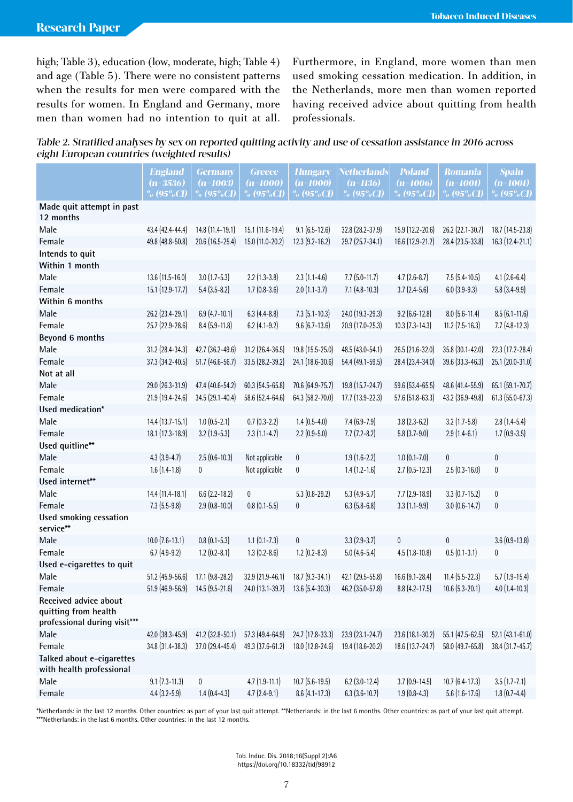high; Table 3), education (low, moderate, high; Table 4) and age (Table 5). There were no consistent patterns when the results for men were compared with the results for women. In England and Germany, more men than women had no intention to quit at all. Furthermore, in England, more women than men used smoking cessation medication. In addition, in the Netherlands, more men than women reported having received advice about quitting from health professionals.

Table 2. Stratified analyses by sex on reported quitting activity and use of cessation assistance in 2016 across eight European countries (weighted results)

|                                                                               | <b>England</b>        | <b>Germany</b>      | <b>Greece</b>       | <b>Hungary</b>        | <b>Netherlands</b>   | <b>Poland</b>         | <b>Romania</b>                 | <b>Spain</b>           |
|-------------------------------------------------------------------------------|-----------------------|---------------------|---------------------|-----------------------|----------------------|-----------------------|--------------------------------|------------------------|
|                                                                               | $(n=3536)$            | $(n=1003)$          | $(n=1000)$          | $(n=1000)$            | $(n=1136)$           | $(n=1006)$            | $(n=1001)$                     | $(n=1001)$             |
|                                                                               | $\frac{9}{6}$ (95%CI) | % $(95\%$ CI)       | % $(95\%$ CI)       | % (95%CI)             | % $(95\%$ CI)        | % $(95\%$ CI)         | $\frac{9}{20}$ (95%C <u>I)</u> | $\frac{9}{2}$ (95%CI)  |
| Made quit attempt in past<br>12 months                                        |                       |                     |                     |                       |                      |                       |                                |                        |
| Male                                                                          | 43.4 (42.4-44.4)      | 14.8 (11.4-19.1)    | 15.1 (11.6-19.4)    | $9.1(6.5-12.6)$       | 32.8 (28.2-37.9)     | 15.9 (12.2-20.6)      | 26.2 (22.1-30.7)               | 18.7 (14.5-23.8)       |
| Female                                                                        | 49.8 (48.8-50.8)      | 20.6 (16.5-25.4)    | 15.0 (11.0-20.2)    | 12.3 (9.2-16.2)       | 29.7 (25.7-34.1)     | 16.6 (12.9-21.2)      | 28.4 (23.5-33.8)               | 16.3 (12.4-21.1)       |
| Intends to quit                                                               |                       |                     |                     |                       |                      |                       |                                |                        |
| Within 1 month                                                                |                       |                     |                     |                       |                      |                       |                                |                        |
| Male                                                                          | 13.6 (11.5-16.0)      | $3.0(1.7-5.3)$      | $2.2$ (1.3-3.8)     | $2.3(1.1-4.6)$        | $7.7$ $(5.0 - 11.7)$ | $4.7(2.6-8.7)$        | $7.5(5.4-10.5)$                | $4.1 (2.6 - 6.4)$      |
| Female                                                                        | 15.1 (12.9-17.7)      | $5.4(3.5-8.2)$      | $1.7(0.8-3.6)$      | $2.0$ (1.1-3.7)       | $7.1 (4.8 - 10.3)$   | $3.7(2.4-5.6)$        | $6.0$ (3.9-9.3)                | $5.8(3.4-9.9)$         |
| Within 6 months                                                               |                       |                     |                     |                       |                      |                       |                                |                        |
| Male                                                                          | 26.2 (23.4-29.1)      | $6.9$ (4.7-10.1)    | $6.3(4.4 - 8.8)$    | $7.3$ $(5.1 - 10.3)$  | 24.0 (19.3-29.3)     | $9.2$ (6.6-12.8)      | $8.0$ (5.6-11.4)               | $8.5(6.1-11.6)$        |
| Female                                                                        | 25.7 (22.9-28.6)      | $8.4(5.9-11.8)$     | $6.2$ (4.1-9.2)     | $9.6$ $(6.7 - 13.6)$  | 20.9 (17.0-25.3)     | $10.3$ $(7.3 - 14.3)$ | $11.2$ (7.5-16.3)              | $7.7(4.8-12.3)$        |
| Beyond 6 months                                                               |                       |                     |                     |                       |                      |                       |                                |                        |
| Male                                                                          | 31.2 (28.4-34.3)      | 42.7 (36.2-49.6)    | 31.2 (26.4-36.5)    | 19.8 (15.5-25.0)      | 48.5 (43.0-54.1)     | 26.5 (21.6-32.0)      | 35.8 (30.1-42.0)               | 22.3 (17.2-28.4)       |
| Female                                                                        | 37.3 (34.2-40.5)      | 51.7 (46.6-56.7)    | 33.5 (28.2-39.2)    | 24.1 (18.6-30.6)      | 54.4 (49.1-59.5)     | 28.4 (23.4-34.0)      | 39.6 (33.3-46.3)               | 25.1 (20.0-31.0)       |
| Not at all                                                                    |                       |                     |                     |                       |                      |                       |                                |                        |
| Male                                                                          | 29.0 (26.3-31.9)      | 47.4 (40.6-54.2)    | 60.3 (54.5-65.8)    | 70.6 (64.9-75.7)      | 19.8 (15.7-24.7)     | 59.6 (53.4-65.5)      | 48.6 (41.4-55.9)               | 65.1 (59.1-70.7)       |
| Female                                                                        | 21.9 (19.4-24.6)      | 34.5 (29.1-40.4)    | 58.6 (52.4-64.6)    | 64.3 (58.2-70.0)      | 17.7 (13.9-22.3)     | 57.6 (51.8-63.3)      | 43.2 (36.9-49.8)               | 61.3 (55.0-67.3)       |
| Used medication*                                                              |                       |                     |                     |                       |                      |                       |                                |                        |
| Male                                                                          | 14.4 (13.7-15.1)      | $1.0(0.5-2.1)$      | $0.7(0.3-2.2)$      | $1.4(0.5-4.0)$        | $7.4(6.9-7.9)$       | $3.8(2.3-6.2)$        | $3.2$ (1.7-5.8)                | $2.8(1.4-5.4)$         |
| Female                                                                        | 18.1 (17.3-18.9)      | $3.2$ (1.9-5.3)     | $2.3(1.1-4.7)$      | $2.2$ (0.9-5.0)       | $7.7(7.2-8.2)$       | $5.8(3.7-9.0)$        | $2.9(1.4-6.1)$                 | $1.7(0.9-3.5)$         |
| Used quitline**                                                               |                       |                     |                     |                       |                      |                       |                                |                        |
| Male                                                                          | $4.3(3.9-4.7)$        | $2.5(0.6-10.3)$     | Not applicable      | $\pmb{0}$             | $1.9(1.6-2.2)$       | $1.0(0.1 - 7.0)$      | $\mathbf 0$                    | $\pmb{0}$              |
| Female                                                                        | $1.6(1.4-1.8)$        | 0                   | Not applicable      | $\pmb{0}$             | $1.4(1.2-1.6)$       | $2.7$ (0.5-12.3)      | $2.5(0.3 - 16.0)$              | $\pmb{0}$              |
| Used internet**                                                               |                       |                     |                     |                       |                      |                       |                                |                        |
| Male                                                                          | 14.4 (11.4-18.1)      | $6.6$ (2.2-18.2)    | 0                   | $5.3(0.8-29.2)$       | $5.3(4.9-5.7)$       | $7.7$ $(2.9 - 18.9)$  | $3.3(0.7 - 15.2)$              | $\bf{0}$               |
| Female                                                                        | $7.3(5.5-9.8)$        | $2.9(0.8-10.0)$     | $0.8$ $(0.1 - 5.5)$ | $\bf{0}$              | $6.3(5.8-6.8)$       | $3.3(1.1-9.9)$        | $3.0(0.6-14.7)$                | $\pmb{0}$              |
| Used smoking cessation<br>service**                                           |                       |                     |                     |                       |                      |                       |                                |                        |
| Male                                                                          | $10.0$ (7.6-13.1)     | $0.8$ $(0.1 - 5.3)$ | $1.1$ $(0.1 - 7.3)$ | $\pmb{0}$             | $3.3(2.9-3.7)$       | $\pmb{0}$             | $\mathbf 0$                    | $3.6(0.9-13.8)$        |
| Female                                                                        | $6.7(4.9-9.2)$        | $1.2$ (0.2-8.1)     | $1.3(0.2 - 8.6)$    | $1.2$ (0.2-8.3)       | $5.0(4.6-5.4)$       | $4.5(1.8-10.8)$       | $0.5(0.1-3.1)$                 | $\pmb{0}$              |
| Used e-cigarettes to quit                                                     |                       |                     |                     |                       |                      |                       |                                |                        |
| Male                                                                          | 51.2 (45.9-56.6)      | 17.1 (9.8-28.2)     | 32.9 (21.9-46.1)    | $18.7(9.3-34.1)$      | 42.1 (29.5-55.8)     | 16.6 (9.1-28.4)       | $11.4$ (5.5-22.3)              | $5.7(1.9-15.4)$        |
| Female                                                                        | 51.9 (46.9-56.9)      | 14.5 (9.5-21.6)     | 24.0 (13.1-39.7)    | $13.6$ $(5.4 - 30.3)$ | 46.2 (35.0-57.8)     | 8.8 (4.2-17.5)        | $10.6(5.3 - 20.1)$             | $4.0$ (1.4-10.3)       |
| Received advice about<br>quitting from health<br>professional during visit*** |                       |                     |                     |                       |                      |                       |                                |                        |
| Male                                                                          | 42.0 (38.3-45.9)      | 41.2 (32.8-50.1)    | 57.3 (49.4-64.9)    | 24.7 (17.8-33.3)      | $23.9(23.1 - 24.7)$  | 23.6 (18.1-30.2)      | 55.1 (47.5-62.5)               | $52.1$ $(43.1 - 61.0)$ |
| Female                                                                        | 34.8 (31.4-38.3)      | 37.0 (29.4-45.4)    | 49.3 (37.6-61.2)    | 18.0 (12.8-24.6)      | 19.4 (18.6-20.2)     | 18.6 (13.7-24.7)      | 58.0 (49.7-65.8)               | 38.4 (31.7-45.7)       |
| Talked about e-cigarettes<br>with health professional                         |                       |                     |                     |                       |                      |                       |                                |                        |
| Male                                                                          | $9.1 (7.3 - 11.3)$    | $\pmb{0}$           | $4.7(1.9-11.1)$     | $10.7$ $(5.6 - 19.5)$ | $6.2$ (3.0-12.4)     | $3.7(0.9 - 14.5)$     | $10.7(6.4-17.3)$               | $3.5(1.7 - 7.1)$       |
| Female                                                                        | $4.4(3.2 - 5.9)$      | $1.4(0.4-4.3)$      | $4.7(2.4-9.1)$      | $8.6$ (4.1-17.3)      | $6.3$ $(3.6 - 10.7)$ | $1.9(0.8-4.3)$        | $5.6(1.6-17.6)$                | $1.8(0.7-4.4)$         |

\*Netherlands: in the last 12 months. Other countries: as part of your last quit attempt. \*\*Netherlands: in the last 6 months. Other countries: as part of your last quit attempt. \*\*\*Netherlands: in the last 6 months. Other countries: in the last 12 months.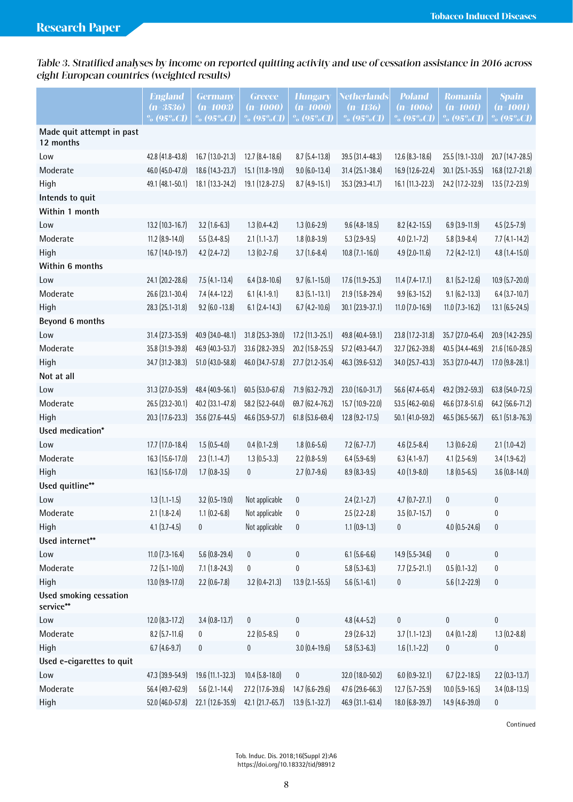Table 3. Stratified analyses by income on reported quitting activity and use of cessation assistance in 2016 across eight European countries (weighted results)

|                                        | <b>England</b><br>$(n=3536)$<br>$\%$ (95%CI) | <b>Germany</b><br>$(n=1003)$<br>$\%$ (95%CI) | <b>Greece</b><br>$(n=1000)$<br>$\%$ (95%CI) | <b>Hungary</b><br>$(n=1000)$<br>% (95%CI) | <b>Netherlands</b><br>$(n=1136)$<br>$\%$ (95%CI) | <b>Poland</b><br>$(n=1006)$<br>% (95%CI) | <b>Romania</b><br>$(n=1001)$<br>$\%$ (95%CI) | <b>Spain</b><br>$(n=1001)$<br>$% (95\%CI)$ |
|----------------------------------------|----------------------------------------------|----------------------------------------------|---------------------------------------------|-------------------------------------------|--------------------------------------------------|------------------------------------------|----------------------------------------------|--------------------------------------------|
| Made quit attempt in past<br>12 months |                                              |                                              |                                             |                                           |                                                  |                                          |                                              |                                            |
| Low                                    | 42.8 (41.8-43.8)                             | 16.7 (13.0-21.3)                             | $12.7(8.4-18.6)$                            | $8.7(5.4-13.8)$                           | 39.5 (31.4-48.3)                                 | $12.6$ $(8.3 - 18.6)$                    | 25.5 (19.1-33.0)                             | 20.7 (14.7-28.5)                           |
| Moderate                               | 46.0 (45.0-47.0)                             | 18.6 (14.3-23.7)                             | 15.1 (11.8-19.0)                            | $9.0$ (6.0-13.4)                          | 31.4 (25.1-38.4)                                 | 16.9 (12.6-22.4)                         | 30.1 (25.1-35.5)                             | 16.8 (12.7-21.8)                           |
| High                                   | 49.1 (48.1-50.1)                             | 18.1 (13.3-24.2)                             | 19.1 (12.8-27.5)                            | $8.7$ $(4.9 - 15.1)$                      | 35.3 (29.3-41.7)                                 | 16.1 (11.3-22.3)                         | 24.2 (17.2-32.9)                             | $13.5$ $(7.2 - 23.9)$                      |
| Intends to quit                        |                                              |                                              |                                             |                                           |                                                  |                                          |                                              |                                            |
| Within 1 month                         |                                              |                                              |                                             |                                           |                                                  |                                          |                                              |                                            |
| Low                                    | 13.2 (10.3-16.7)                             | $3.2(1.6-6.3)$                               | $1.3(0.4-4.2)$                              | $1.3(0.6-2.9)$                            | $9.6$ (4.8-18.5)                                 | $8.2$ (4.2-15.5)                         | $6.9$ $(3.9 - 11.9)$                         | $4.5(2.5 - 7.9)$                           |
| Moderate                               | $11.2$ $(8.9 - 14.0)$                        | $5.5(3.4 - 8.5)$                             | $2.1(1.1-3.7)$                              | $1.8(0.8-3.9)$                            | $5.3(2.9-9.5)$                                   | $4.0(2.1 - 7.2)$                         | $5.8(3.9 - 8.4)$                             | $7.7(4.1-14.2)$                            |
| High                                   | 16.7 (14.0-19.7)                             | $4.2$ (2.4-7.2)                              | $1.3(0.2 - 7.6)$                            | $3.7(1.6-8.4)$                            | $10.8$ (7.1-16.0)                                | $4.9$ $(2.0 - 11.6)$                     | $7.2$ (4.2-12.1)                             | 4.8 (1.4-15.0)                             |
| Within 6 months                        |                                              |                                              |                                             |                                           |                                                  |                                          |                                              |                                            |
| Low                                    | 24.1 (20.2-28.6)                             | $7.5(4.1-13.4)$                              | $6.4$ (3.8-10.6)                            | $9.7(6.1 - 15.0)$                         | 17.6 (11.9-25.3)                                 | $11.4$ $(7.4 - 17.1)$                    | $8.1 (5.2 - 12.6)$                           | 10.9 (5.7-20.0)                            |
| Moderate                               | 26.6 (23.1-30.4)                             | $7.4(4.4-12.2)$                              | $6.1 (4.1 - 9.1)$                           | $8.3$ $(5.1 - 13.1)$                      | 21.9 (15.8-29.4)                                 | $9.9(6.3-15.2)$                          | $9.1(6.2 - 13.3)$                            | $6.4$ (3.7-10.7)                           |
| High                                   | 28.3 (25.1-31.8)                             | $9.2$ (6.0 - 13.8)                           | $6.1 (2.4 - 14.3)$                          | $6.7$ $(4.2 - 10.6)$                      | 30.1 (23.9-37.1)                                 | $11.0$ (7.0-16.9)                        | $11.0$ (7.3-16.2)                            | $13.1 (6.5 - 24.5)$                        |
| Beyond 6 months                        |                                              |                                              |                                             |                                           |                                                  |                                          |                                              |                                            |
| Low                                    | 31.4 (27.3-35.9)                             | 40.9 (34.0-48.1)                             | $31.8(25.3-39.0)$                           | 17.2 (11.3-25.1)                          | 49.8 (40.4-59.1)                                 | 23.8 (17.2-31.8)                         | 35.7 (27.0-45.4)                             | 20.9 (14.2-29.5)                           |
| Moderate                               | 35.8 (31.9-39.8)                             | 46.9 (40.3-53.7)                             | 33.6 (28.2-39.5)                            | 20.2 (15.8-25.5)                          | 57.2 (49.3-64.7)                                 | 32.7 (26.2-39.8)                         | 40.5 (34.4-46.9)                             | 21.6 (16.0-28.5)                           |
| High                                   | 34.7 (31.2-38.3)                             | 51.0 (43.0-58.8)                             | 46.0 (34.7-57.8)                            | 27.7 (21.2-35.4)                          | 46.3 (39.6-53.2)                                 | 34.0 (25.7-43.3)                         | 35.3 (27.0-44.7)                             | $17.0$ $(9.8-28.1)$                        |
| Not at all                             |                                              |                                              |                                             |                                           |                                                  |                                          |                                              |                                            |
| Low                                    | 31.3 (27.0-35.9)                             | 48.4 (40.9-56.1)                             | 60.5 (53.0-67.6)                            | 71.9 (63.2-79.2)                          | 23.0 (16.0-31.7)                                 | 56.6 (47.4-65.4)                         | 49.2 (39.2-59.3)                             | 63.8 (54.0-72.5)                           |
| Moderate                               | 26.5 (23.2-30.1)                             | 40.2 (33.1-47.8)                             | 58.2 (52.2-64.0)                            | 69.7 (62.4-76.2)                          | 15.7 (10.9-22.0)                                 | 53.5 (46.2-60.6)                         | 46.6 (37.8-51.6)                             | 64.2 (56.6-71.2)                           |
| High                                   | 20.3 (17.6-23.3)                             | 35.6 (27.6-44.5)                             | 46.6 (35.9-57.7)                            | 61.8 (53.6-69.4)                          | $12.8$ (9.2-17.5)                                | 50.1 (41.0-59.2)                         | 46.5 (36.5-56.7)                             | 65.1 (51.8-76.3)                           |
| Used medication*                       |                                              |                                              |                                             |                                           |                                                  |                                          |                                              |                                            |
| Low                                    | 17.7 (17.0-18.4)                             | $1.5(0.5-4.0)$                               | $0.4(0.1-2.9)$                              | $1.8(0.6-5.6)$                            | $7.2(6.7 - 7.7)$                                 | $4.6(2.5 - 8.4)$                         | $1.3(0.6-2.6)$                               | $2.1(1.0-4.2)$                             |
| Moderate                               | 16.3 (15.6-17.0)                             | $2.3(1.1-4.7)$                               | $1.3(0.5-3.3)$                              | $2.2$ (0.8-5.9)                           | $6.4(5.9-6.9)$                                   | $6.3(4.1-9.7)$                           | $4.1 (2.5 - 6.9)$                            | $3.4(1.9-6.2)$                             |
| High                                   | 16.3 (15.6-17.0)                             | $1.7(0.8-3.5)$                               | $\bf{0}$                                    | $2.7(0.7-9.6)$                            | 8.9 (8.3-9.5)                                    | $4.0(1.9-8.0)$                           | $1.8(0.5-6.5)$                               | $3.6(0.8-14.0)$                            |
| Used quitline**                        |                                              |                                              |                                             |                                           |                                                  |                                          |                                              |                                            |
| Low                                    | $1.3(1.1-1.5)$                               | $3.2$ (0.5-19.0)                             | Not applicable                              | 0                                         | $2.4(2.1-2.7)$                                   | $4.7(0.7-27.1)$                          | $\pmb{0}$                                    | 0                                          |
| Moderate                               | $2.1(1.8-2.4)$                               | $1.1$ $(0.2 - 6.8)$                          | Not applicable                              | 0                                         | $2.5(2.2-2.8)$                                   | $3.5(0.7-15.7)$                          | 0                                            | $\pmb{0}$                                  |
| High                                   | $4.1 (3.7 - 4.5)$                            | $\bf{0}$                                     | Not applicable                              | $\pmb{0}$                                 | $1.1$ $(0.9-1.3)$                                | $\bf{0}$                                 | $4.0(0.5-24.6)$                              | $\pmb{0}$                                  |
| Used internet**                        |                                              |                                              |                                             |                                           |                                                  |                                          |                                              |                                            |
| Low                                    | $11.0$ (7.3-16.4)                            | $5.6(0.8-29.4)$                              | $\pmb{0}$                                   | $\bf{0}$                                  | $6.1 (5.6 - 6.6)$                                | 14.9 (5.5-34.6)                          | $\pmb{0}$                                    | $\pmb{0}$                                  |
| Moderate                               | $7.2$ (5.1-10.0)                             | $7.1(1.8-24.3)$                              | 0                                           | $\pmb{0}$                                 | $5.8(5.3-6.3)$                                   | $7.7(2.5-21.1)$                          | $0.5(0.1-3.2)$                               | 0                                          |
| High                                   | 13.0 (9.9-17.0)                              | $2.2$ (0.6-7.8)                              | $3.2$ (0.4-21.3)                            | 13.9 (2.1-55.5)                           | $5.6(5.1 - 6.1)$                                 | $\pmb{0}$                                | $5.6(1.2 - 22.9)$                            | $\pmb{0}$                                  |
| Used smoking cessation<br>service**    |                                              |                                              |                                             |                                           |                                                  |                                          |                                              |                                            |
| Low                                    | 12.0 (8.3-17.2)                              | $3.4(0.8-13.7)$                              | $\pmb{0}$                                   | 0                                         | $4.8(4.4-5.2)$                                   | $\pmb{0}$                                | $\pmb{0}$                                    | $\pmb{0}$                                  |
| Moderate                               | $8.2$ (5.7-11.6)                             | $\bf{0}$                                     | $2.2$ (0.5-8.5)                             | 0                                         | $2.9(2.6-3.2)$                                   | $3.7$ (1.1-12.3)                         | $0.4(0.1 - 2.8)$                             | $1.3(0.2 - 8.8)$                           |
| High                                   | $6.7(4.6-9.7)$                               | 0                                            | $\pmb{0}$                                   | $3.0(0.4-19.6)$                           | $5.8(5.3 - 6.3)$                                 | $1.6(1.1-2.2)$                           | $\pmb{0}$                                    | 0                                          |
| Used e-cigarettes to quit              |                                              |                                              |                                             |                                           |                                                  |                                          |                                              |                                            |
| Low                                    | 47.3 (39.9-54.9)                             | 19.6 (11.1-32.3)                             | $10.4$ (5.8-18.0)                           | 0                                         | 32.0 (18.0-50.2)                                 | $6.0$ $(0.9 - 32.1)$                     | $6.7$ (2.2-18.5)                             | $2.2$ (0.3-13.7)                           |
| Moderate                               | 56.4 (49.7-62.9)                             | $5.6$ (2.1-14.4)                             | 27.2 (17.6-39.6)                            | 14.7 (6.6-29.6)                           | 47.6 (29.6-66.3)                                 | $12.7$ (5.7-25.9)                        | $10.0$ $(5.9 - 16.5)$                        | $3.4(0.8-13.5)$                            |
| High                                   | 52.0 (46.0-57.8)                             | 22.1 (12.6-35.9)                             | 42.1 (21.7-65.7)                            | $13.9(5.1 - 32.7)$                        | 46.9 (31.1-63.4)                                 | 18.0 (6.8-39.7)                          | 14.9 (4.6-39.0)                              | 0                                          |

Continued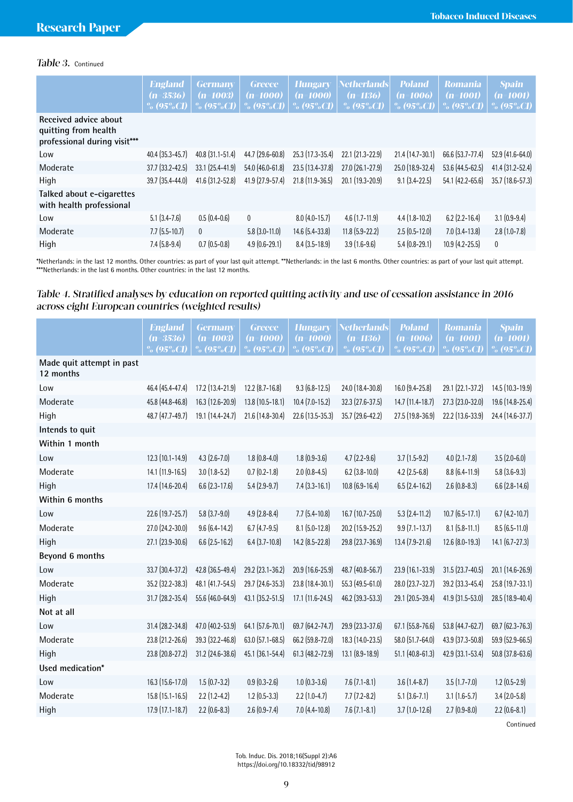# Table 3. Continued

|                                                                               | <b>England</b><br>$(n=3536)$<br>% $(95\%CI)$ | <b>Germany</b><br>$(n=1003)$<br>% $(95\%$ CI) | <b>Greece</b><br>$(n=1000)$<br>% $(95\%CI)$ | <b>Hungary</b><br>$(n=1000)$<br>% $(95\%CI)$ | <b>Netherlands</b><br>$(n=1136)$<br>% $(95\%$ CI) | <b>Poland</b><br>$(n=1006)$<br>$\%$ (95%CI) | <b>Romania</b><br>$(n=1001)$<br>% $(95\%$ CI) | <b>Spain</b><br>$(n=1001)$<br>% $(95\%CI)$ |
|-------------------------------------------------------------------------------|----------------------------------------------|-----------------------------------------------|---------------------------------------------|----------------------------------------------|---------------------------------------------------|---------------------------------------------|-----------------------------------------------|--------------------------------------------|
| Received advice about<br>quitting from health<br>professional during visit*** |                                              |                                               |                                             |                                              |                                                   |                                             |                                               |                                            |
| Low                                                                           | $40.4(35.3-45.7)$                            | 40.8 (31.1-51.4)                              | 44.7 (29.6-60.8)                            | $25.3(17.3-35.4)$                            | $22.1$ $(21.3 - 22.9)$                            | $21.4(14.7-30.1)$                           | 66.6 (53.7-77.4)                              | $52.9(41.6-64.0)$                          |
| Moderate                                                                      | $37.7(33.2 - 42.5)$                          | $33.1 (25.4 - 41.9)$                          | 54.0 (46.0-61.8)                            | $23.5(13.4-37.8)$                            | 27.0 (26.1-27.9)                                  | 25.0 (18.9-32.4)                            | $53.6$ (44.5-62.5)                            | 41.4 (31.2-52.4)                           |
| High                                                                          | $39.7(35.4 - 44.0)$                          | 41.6 (31.2-52.8)                              | 41.9 (27.9-57.4)                            | $21.8$ (11.9-36.5)                           | $20.1$ (19.3-20.9)                                | $9.1(3.4-22.5)$                             | 54.1 (42.2-65.6)                              | $35.7$ (18.6-57.3)                         |
| Talked about e-cigarettes<br>with health professional                         |                                              |                                               |                                             |                                              |                                                   |                                             |                                               |                                            |
| Low                                                                           | $5.1(3.4-7.6)$                               | $0.5(0.4-0.6)$                                | $\mathbf{0}$                                | $8.0$ (4.0-15.7)                             | $4.6(1.7-11.9)$                                   | $4.4(1.8-10.2)$                             | $6.2$ (2.2-16.4)                              | $3.1(0.9-9.4)$                             |
| Moderate                                                                      | $7.7(5.5-10.7)$                              | $\mathbf{0}$                                  | $5.8$ (3.0-11.0)                            | $14.6$ (5.4-33.8)                            | $11.8$ (5.9-22.2)                                 | $2.5(0.5-12.0)$                             | $7.0$ $(3.4 - 13.8)$                          | $2.8(1.0-7.8)$                             |
| High                                                                          | $7.4(5.8-9.4)$                               | $0.7(0.5-0.8)$                                | $4.9(0.6-29.1)$                             | $8.4(3.5-18.9)$                              | $3.9(1.6-9.6)$                                    | $5.4(0.8-29.1)$                             | $10.9(4.2 - 25.5)$                            | $\mathbf{0}$                               |

\*Netherlands: in the last 12 months. Other countries: as part of your last quit attempt. \*\*Netherlands: in the last 6 months. Other countries: as part of your last quit attempt. \*\*\*Netherlands: in the last 6 months. Other countries: in the last 12 months.

### Table 4. Stratified analyses by education on reported quitting activity and use of cessation assistance in 2016 across eight European countries (weighted results)

|                                        | <b>England</b><br>$(n=3536)$<br>$\%$ (95%CI) | <b>Germany</b><br>$(n=1003)$<br>$\%$ (95%CI) | <b>Greece</b><br>$(n=1000)$<br>$\%$ (95%CI) | <b>Hungary</b><br>$(n=1000)$<br>$\%$ (95%CI) | <b>Netherlands</b><br>(n=1136)<br>$\%$ (95%CI) | <b>Poland</b><br>(n=1006)<br>$\%$ (95%CI) | <b>Romania</b><br>$(n=1001)$<br>% $(95\%$ CI) | <b>Spain</b><br>$(n=1001)$<br>$\%$ (95%CI) |
|----------------------------------------|----------------------------------------------|----------------------------------------------|---------------------------------------------|----------------------------------------------|------------------------------------------------|-------------------------------------------|-----------------------------------------------|--------------------------------------------|
| Made quit attempt in past<br>12 months |                                              |                                              |                                             |                                              |                                                |                                           |                                               |                                            |
| Low                                    | 46.4 (45.4-47.4)                             | 17.2 (13.4-21.9)                             | $12.2$ $(8.7 - 16.8)$                       | $9.3(6.8-12.5)$                              | 24.0 (18.4-30.8)                               | 16.0 (9.4-25.8)                           | 29.1 (22.1-37.2)                              | 14.5 (10.3-19.9)                           |
| Moderate                               | 45.8 (44.8-46.8)                             | 16.3 (12.6-20.9)                             | $13.8(10.5-18.1)$                           | $10.4$ (7.0-15.2)                            | 32.3 (27.6-37.5)                               | 14.7 (11.4-18.7)                          | 27.3 (23.0-32.0)                              | 19.6 (14.8-25.4)                           |
| High                                   | 48.7 (47.7-49.7)                             | 19.1 (14.4-24.7)                             | 21.6 (14.8-30.4)                            | 22.6 (13.5-35.3)                             | 35.7 (29.6-42.2)                               | 27.5 (19.8-36.9)                          | 22.2 (13.6-33.9)                              | 24.4 (14.6-37.7)                           |
| Intends to quit                        |                                              |                                              |                                             |                                              |                                                |                                           |                                               |                                            |
| Within 1 month                         |                                              |                                              |                                             |                                              |                                                |                                           |                                               |                                            |
| Low                                    | 12.3 (10.1-14.9)                             | $4.3(2.6 - 7.0)$                             | $1.8(0.8-4.0)$                              | $1.8(0.9-3.6)$                               | $4.7(2.2-9.6)$                                 | $3.7(1.5-9.2)$                            | $4.0(2.1 - 7.8)$                              | $3.5(2.0-6.0)$                             |
| Moderate                               | 14.1 (11.9-16.5)                             | $3.0(1.8-5.2)$                               | $0.7(0.2 - 1.8)$                            | $2.0(0.8-4.5)$                               | $6.2$ (3.8-10.0)                               | $4.2$ (2.5-6.8)                           | $8.8(6.4-11.9)$                               | $5.8(3.6-9.3)$                             |
| High                                   | 17.4 (14.6-20.4)                             | $6.6$ (2.3-17.6)                             | $5.4(2.9-9.7)$                              | $7.4(3.3-16.1)$                              | $10.8(6.9-16.4)$                               | $6.5(2.4-16.2)$                           | $2.6(0.8-8.3)$                                | $6.6$ $(2.8 - 14.6)$                       |
| Within 6 months                        |                                              |                                              |                                             |                                              |                                                |                                           |                                               |                                            |
| Low                                    | 22.6 (19.7-25.7)                             | $5.8(3.7-9.0)$                               | $4.9(2.8 - 8.4)$                            | $7.7$ $(5.4 - 10.8)$                         | 16.7 (10.7-25.0)                               | $5.3$ $(2.4 - 11.2)$                      | $10.7(6.5-17.1)$                              | $6.7$ $(4.2 - 10.7)$                       |
| Moderate                               | 27.0 (24.2-30.0)                             | $9.6(6.4-14.2)$                              | $6.7(4.7-9.5)$                              | $8.1 (5.0 - 12.8)$                           | 20.2 (15.9-25.2)                               | $9.9$ (7.1-13.7)                          | $8.1 (5.8 - 11.1)$                            | $8.5(6.5-11.0)$                            |
| High                                   | 27.1 (23.9-30.6)                             | $6.6$ (2.5-16.2)                             | $6.4$ (3.7-10.8)                            | 14.2 (8.5-22.8)                              | 29.8 (23.7-36.9)                               | 13.4 (7.9-21.6)                           | 12.6 (8.0-19.3)                               | $14.1 (6.7 - 27.3)$                        |
| Beyond 6 months                        |                                              |                                              |                                             |                                              |                                                |                                           |                                               |                                            |
| Low                                    | 33.7 (30.4-37.2)                             | 42.8 (36.5-49.4)                             | 29.2 (23.1-36.2)                            | 20.9 (16.6-25.9)                             | 48.7 (40.8-56.7)                               | 23.9 (16.1-33.9)                          | 31.5 (23.7-40.5)                              | 20.1 (14.6-26.9)                           |
| Moderate                               | 35.2 (32.2-38.3)                             | 48.1 (41.7-54.5)                             | 29.7 (24.6-35.3)                            | 23.8 (18.4-30.1)                             | 55.3 (49.5-61.0)                               | 28.0 (23.7-32.7)                          | 39.2 (33.3-45.4)                              | 25.8 (19.7-33.1)                           |
| High                                   | 31.7 (28.2-35.4)                             | 55.6 (46.0-64.9)                             | 43.1 (35.2-51.5)                            | 17.1 (11.6-24.5)                             | 46.2 (39.3-53.3)                               | 29.1 (20.5-39.4)                          | 41.9 (31.5-53.0)                              | 28.5 (18.9-40.4)                           |
| Not at all                             |                                              |                                              |                                             |                                              |                                                |                                           |                                               |                                            |
| Low                                    | 31.4 (28.2-34.8)                             | 47.0 (40.2-53.9)                             | 64.1 (57.6-70.1)                            | 69.7 (64.2-74.7)                             | 29.9 (23.3-37.6)                               | 67.1 (55.8-76.6)                          | 53.8 (44.7-62.7)                              | 69.7 (62.3-76.3)                           |
| Moderate                               | 23.8 (21.2-26.6)                             | 39.3 (32.2-46.8)                             | 63.0 (57.1-68.5)                            | 66.2 (59.8-72.0)                             | 18.3 (14.0-23.5)                               | 58.0 (51.7-64.0)                          | 43.9 (37.3-50.8)                              | 59.9 (52.9-66.5)                           |
| High                                   | 23.8 (20.8-27.2)                             | 31.2 (24.6-38.6)                             | 45.1 (36.1-54.4)                            | 61.3 (48.2-72.9)                             | $13.1 (8.9 - 18.9)$                            | $51.1$ (40.8-61.3)                        | 42.9 (33.1-53.4)                              | 50.8 (37.8-63.6)                           |
| Used medication*                       |                                              |                                              |                                             |                                              |                                                |                                           |                                               |                                            |
| Low                                    | 16.3 (15.6-17.0)                             | $1.5(0.7-3.2)$                               | $0.9(0.3-2.6)$                              | $1.0(0.3-3.6)$                               | $7.6(7.1 - 8.1)$                               | $3.6(1.4 - 8.7)$                          | $3.5(1.7 - 7.0)$                              | $1.2$ (0.5-2.9)                            |
| Moderate                               | 15.8 (15.1-16.5)                             | $2.2(1.2-4.2)$                               | $1.2$ (0.5-3.3)                             | $2.2$ (1.0-4.7)                              | $7.7(7.2-8.2)$                                 | $5.1 (3.6 - 7.1)$                         | $3.1(1.6-5.7)$                                | $3.4(2.0-5.8)$                             |
| High                                   | 17.9 (17.1-18.7)                             | $2.2$ (0.6-8.3)                              | $2.6(0.9 - 7.4)$                            | $7.0$ $(4.4 - 10.8)$                         | $7.6(7.1 - 8.1)$                               | $3.7(1.0-12.6)$                           | $2.7(0.9-8.0)$                                | $2.2$ (0.6-8.1)                            |
|                                        |                                              |                                              |                                             |                                              |                                                |                                           |                                               |                                            |

Continued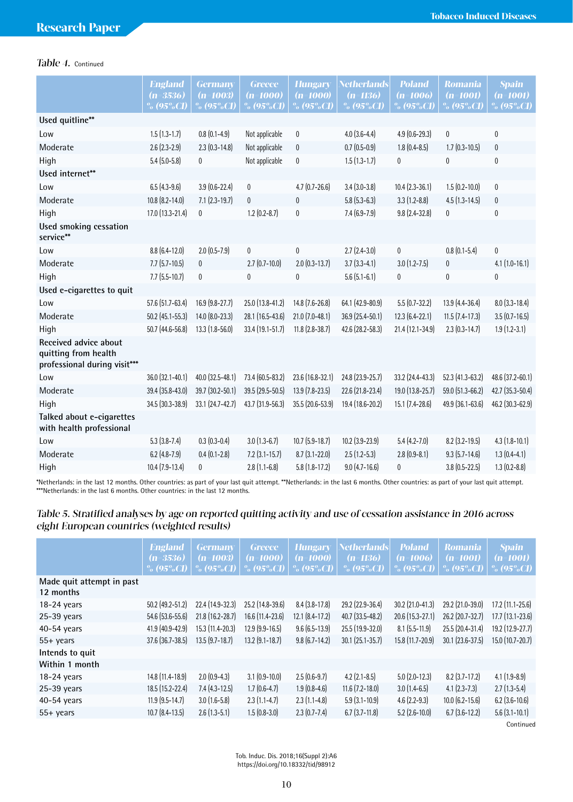# Table 4. Continued

|                                                                               | <b>England</b><br>$(n=3536)$<br>$\%$ (95%CI) | <b>Germany</b><br>$(n=1003)$<br>% (95%CI) | <b>Greece</b><br>$(n=1000)$<br>$\%$ (95%CI) | <b>Hungary</b><br>$(n=1000)$<br>$\%$ (95%CI) | Netherlands<br>$(n=1136)$<br>% $(95\%$ CI) | <b>Poland</b><br>$(n=1006)$<br>$\%$ (95%CI) | <b>Romania</b><br>$(n=1001)$<br>$\%$ (95%CI) | <b>Spain</b><br>$(n=1001)$<br>% $(95\%CI)$ |
|-------------------------------------------------------------------------------|----------------------------------------------|-------------------------------------------|---------------------------------------------|----------------------------------------------|--------------------------------------------|---------------------------------------------|----------------------------------------------|--------------------------------------------|
| Used quitline**                                                               |                                              |                                           |                                             |                                              |                                            |                                             |                                              |                                            |
| Low                                                                           | $1.5(1.3-1.7)$                               | $0.8(0.1-4.9)$                            | Not applicable                              | 0                                            | $4.0(3.6-4.4)$                             | $4.9$ $(0.6-29.3)$                          | $\mathbf{0}$                                 | $\mathbf{0}$                               |
| Moderate                                                                      | $2.6(2.3-2.9)$                               | $2.3$ (0.3-14.8)                          | Not applicable                              | $\mathbf{0}$                                 | $0.7(0.5-0.9)$                             | $1.8(0.4 - 8.5)$                            | $1.7(0.3-10.5)$                              | 0                                          |
| High                                                                          | $5.4(5.0-5.8)$                               | $\mathbf{0}$                              | Not applicable                              | $\mathbf{0}$                                 | $1.5(1.3-1.7)$                             | $\overline{0}$                              | 0                                            | $\mathbf{0}$                               |
| Used internet**                                                               |                                              |                                           |                                             |                                              |                                            |                                             |                                              |                                            |
| Low                                                                           | $6.5(4.3-9.6)$                               | $3.9(0.6 - 22.4)$                         | $\pmb{0}$                                   | $4.7(0.7 - 26.6)$                            | $3.4(3.0-3.8)$                             | $10.4(2.3-36.1)$                            | $1.5(0.2 - 10.0)$                            | $\mathbf 0$                                |
| Moderate                                                                      | $10.8(8.2 - 14.0)$                           | $7.1$ $(2.3 - 19.7)$                      | $\mathbf 0$                                 | $\mathbf{0}$                                 | $5.8$ (5.3-6.3)                            | $3.3(1.2 - 8.8)$                            | $4.5(1.3-14.5)$                              | $\bf{0}$                                   |
| High                                                                          | 17.0 (13.3-21.4)                             | $\mathbf{0}$                              | $1.2(0.2 - 8.7)$                            | $\mathbf{0}$                                 | $7.4(6.9-7.9)$                             | $9.8(2.4-32.8)$                             | $\mathbf{0}$                                 | $\mathbf{0}$                               |
| Used smoking cessation<br>service**                                           |                                              |                                           |                                             |                                              |                                            |                                             |                                              |                                            |
| Low                                                                           | $8.8(6.4-12.0)$                              | $2.0$ (0.5-7.9)                           | $\mathbf 0$                                 | $\mathbf{0}$                                 | $2.7(2.4-3.0)$                             | 0                                           | $0.8(0.1-5.4)$                               | $\overline{0}$                             |
| Moderate                                                                      | $7.7(5.7-10.5)$                              | 0                                         | $2.7(0.7-10.0)$                             | $2.0$ $(0.3 - 13.7)$                         | $3.7(3.3 - 4.1)$                           | $3.0$ (1.2-7.5)                             | $\boldsymbol{0}$                             | $4.1$ (1.0-16.1)                           |
| High                                                                          | $7.7$ $(5.5 - 10.7)$                         | $\pmb{0}$                                 | $\mathbf{0}$                                | $\mathbf{0}$                                 | $5.6(5.1 - 6.1)$                           | $\pmb{0}$                                   | $\mathbf{0}$                                 | $\overline{0}$                             |
| Used e-cigarettes to quit                                                     |                                              |                                           |                                             |                                              |                                            |                                             |                                              |                                            |
| Low                                                                           | 57.6 (51.7-63.4)                             | 16.9 (9.8-27.7)                           | 25.0 (13.8-41.2)                            | 14.8 (7.6-26.8)                              | 64.1 (42.9-80.9)                           | $5.5(0.7-32.2)$                             | 13.9 (4.4-36.4)                              | $8.0$ (3.3-18.4)                           |
| Moderate                                                                      | $50.2$ (45.1-55.3)                           | 14.0 (8.0-23.3)                           | 28.1 (16.5-43.6)                            | $21.0$ (7.0-48.1)                            | 36.9 (25.4-50.1)                           | $12.3(6.4-22.1)$                            | $11.5$ $(7.4-17.3)$                          | $3.5(0.7-16.5)$                            |
| High                                                                          | 50.7 (44.6-56.8)                             | 13.3 (1.8-56.0)                           | 33.4 (19.1-51.7)                            | $11.8(2.8-38.7)$                             | 42.6 (28.2-58.3)                           | 21.4 (12.1-34.9)                            | $2.3(0.3-14.7)$                              | $1.9(1.2-3.1)$                             |
| Received advice about<br>quitting from health<br>professional during visit*** |                                              |                                           |                                             |                                              |                                            |                                             |                                              |                                            |
| Low                                                                           | 36.0 (32.1-40.1)                             | 40.0 (32.5-48.1)                          | 73.4 (60.5-83.2)                            | 23.6 (16.8-32.1)                             | 24.8 (23.9-25.7)                           | 33.2 (24.4-43.3)                            | 52.3 (41.3-63.2)                             | 48.6 (37.2-60.1)                           |
| Moderate                                                                      | 39.4 (35.8-43.0)                             | 39.7 (30.2-50.1)                          | 39.5 (29.5-50.5)                            | $13.9$ (7.8-23.5)                            | 22.6 (21.8-23.4)                           | 19.0 (13.8-25.7)                            | 59.0 (51.3-66.2)                             | 42.7 (35.3-50.4)                           |
| High                                                                          | 34.5 (30.3-38.9)                             | 33.1 (24.7-42.7)                          | 43.7 (31.9-56.3)                            | 35.5 (20.6-53.9)                             | 19.4 (18.6-20.2)                           | 15.1 (7.4-28.6)                             | 49.9 (36.1-63.6)                             | 46.2 (30.3-62.9)                           |
| Talked about e-cigarettes<br>with health professional                         |                                              |                                           |                                             |                                              |                                            |                                             |                                              |                                            |
| Low                                                                           | $5.3(3.8-7.4)$                               | $0.3(0.3-0.4)$                            | $3.0(1.3-6.7)$                              | $10.7$ $(5.9 - 18.7)$                        | $10.2$ $(3.9 - 23.9)$                      | $5.4(4.2 - 7.0)$                            | 8.2 (3.2-19.5)                               | $4.3(1.8-10.1)$                            |
| Moderate                                                                      | $6.2$ (4.8-7.9)                              | $0.4(0.1-2.8)$                            | $7.2$ $(3.1 - 15.7)$                        | $8.7(3.1-22.0)$                              | $2.5(1.2-5.3)$                             | $2.8(0.9-8.1)$                              | $9.3(5.7-14.6)$                              | $1.3(0.4-4.1)$                             |
| High                                                                          | $10.4$ (7.9-13.4)                            | 0                                         | $2.8(1.1-6.8)$                              | $5.8(1.8-17.2)$                              | $9.0$ (4.7-16.6)                           | $\mathbf{0}$                                | $3.8(0.5-22.5)$                              | $1.3(0.2 - 8.8)$                           |
|                                                                               |                                              |                                           |                                             |                                              |                                            |                                             |                                              |                                            |

\*Netherlands: in the last 12 months. Other countries: as part of your last quit attempt. \*\*Netherlands: in the last 6 months. Other countries: as part of your last quit attempt. \*\*\*Netherlands: in the last 6 months. Other countries: in the last 12 months.

# Table 5. Stratified analyses by age on reported quitting activity and use of cessation assistance in 2016 across eight European countries (weighted results)

|                                        | <b>England</b><br>$(n=3536)$<br>% $(95\%CI)$ | <b>Germany</b><br>$(n=1003)$<br>% $(95\%$ CI) | <b>Greece</b><br>$(n=1000)$<br>% $(95\%CI)$ | <b>Hungary</b><br>$(n=1000)$<br>% $(95\%CI)$ | <b>Netherlands</b><br>$(n=1136)$<br>% $(95\%$ CI) | <b>Poland</b><br>$(n=1006)$<br>% $(95\%CI)$ | <b>Romania</b><br>$(n=1001)$<br>% $(95\%$ CI) | <b>Spain</b><br>$(n=1001)$<br>% $(95\%CI)$ |
|----------------------------------------|----------------------------------------------|-----------------------------------------------|---------------------------------------------|----------------------------------------------|---------------------------------------------------|---------------------------------------------|-----------------------------------------------|--------------------------------------------|
| Made quit attempt in past<br>12 months |                                              |                                               |                                             |                                              |                                                   |                                             |                                               |                                            |
| $18-24$ years                          | $50.2$ (49.2-51.2)                           | 22.4 (14.9-32.3)                              | 25.2 (14.8-39.6)                            | $8.4(3.8-17.8)$                              | 29.2 (22.9-36.4)                                  | $30.2$ (21.0-41.3)                          | 29.2 (21.0-39.0)                              | $17.2$ (11.1-25.6)                         |
| $25-39$ years                          | $54.6$ (53.6-55.6)                           | $21.8$ (16.2-28.7)                            | $16.6$ (11.4-23.6)                          | $12.1 (8.4 - 17.2)$                          | $40.7$ (33.5-48.2)                                | $20.6$ (15.3-27.1)                          | 26.2 (20.7-32.7)                              | $17.7(13.1 - 23.6)$                        |
| 40-54 years                            | 41.9 (40.9-42.9)                             | 15.3 (11.4-20.3)                              | $12.9$ (9.9-16.5)                           | $9.6(6.5-13.9)$                              | $25.5(19.9-32.0)$                                 | $8.1$ (5.5-11.9)                            | $25.5(20.4-31.4)$                             | 19.2 (12.9-27.7)                           |
| $55+$ years                            | $37.6$ (36.7-38.5)                           | $13.5(9.7-18.7)$                              | $13.2$ (9.1-18.7)                           | $9.8(6.7-14.2)$                              | $30.1 (25.1 - 35.7)$                              | 15.8 (11.7-20.9)                            | $30.1$ (23.6-37.5)                            | $15.0$ (10.7-20.7)                         |
| Intends to quit                        |                                              |                                               |                                             |                                              |                                                   |                                             |                                               |                                            |
| Within 1 month                         |                                              |                                               |                                             |                                              |                                                   |                                             |                                               |                                            |
| $18-24$ years                          | 14.8 (11.4-18.9)                             | $2.0$ (0.9-4.3)                               | $3.1(0.9-10.0)$                             | $2.5(0.6-9.7)$                               | $4.2$ (2.1-8.5)                                   | $5.0$ (2.0-12.3)                            | $8.2$ (3.7-17.2)                              | $4.1(1.9-8.9)$                             |
| $25-39$ years                          | 18.5 (15.2-22.4)                             | $7.4(4.3-12.5)$                               | $1.7(0.6-4.7)$                              | $1.9(0.8-4.6)$                               | $11.6$ (7.2-18.0)                                 | $3.0(1.4-6.5)$                              | $4.1(2.3 - 7.3)$                              | $2.7(1.3-5.4)$                             |
| $40-54$ years                          | $11.9$ (9.5-14.7)                            | $3.0(1.6-5.8)$                                | $2.3(1.1-4.7)$                              | $2.3(1.1-4.8)$                               | $5.9(3.1-10.9)$                                   | $4.6(2.2-9.3)$                              | $10.0$ $(6.2 - 15.6)$                         | $6.2$ (3.6-10.6)                           |
| $55+$ years                            | $10.7$ $(8.4 - 13.5)$                        | $2.6$ (1.3-5.1)                               | $1.5(0.8-3.0)$                              | $2.3(0.7 - 7.4)$                             | $6.7(3.7-11.8)$                                   | $5.2$ (2.6-10.0)                            | $6.7(3.6-12.2)$                               | $5.6$ $(3.1 - 10.1)$                       |
|                                        |                                              |                                               |                                             |                                              |                                                   |                                             |                                               | Continued                                  |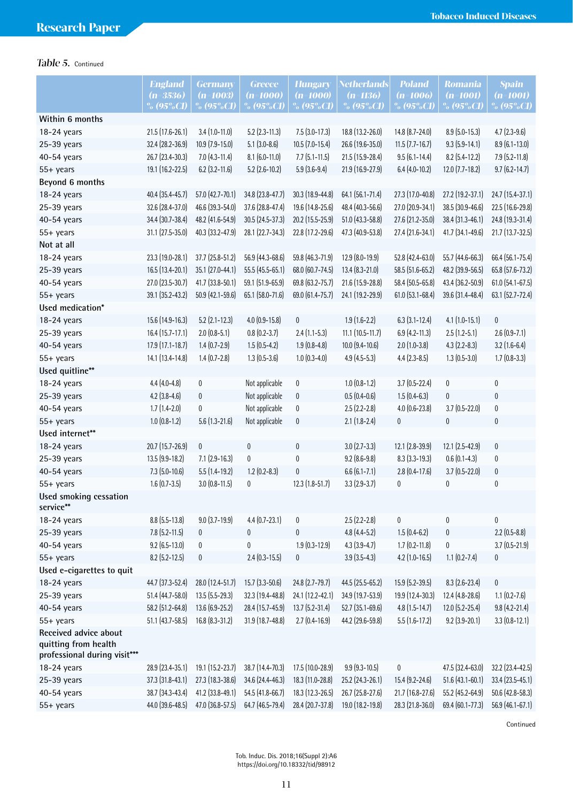# Table 5. Continued

|                                                      | <b>England</b>     | <b>Germany</b>       | <b>Greece</b>     | <b>Hungary</b>       | <b>Netherlands</b>     | <b>Poland</b>        | <b>Romania</b>       | <b>Spain</b>        |
|------------------------------------------------------|--------------------|----------------------|-------------------|----------------------|------------------------|----------------------|----------------------|---------------------|
|                                                      | $(n=3536)$         | $(n=1003)$           | (n=1000)          | $(n=1000)$           | $(n=1136)$             | $(n=1006)$           | $(n=1001)$           | $(n=1001)$          |
|                                                      | $\%$ (95%CI)       | % (95%CI)            | % (95%CI)         | % (95%CI)            | % $(95\%$ CI)          | % (95%CI)            | % $(95\%$ CI)        | $% (95\%CI)$        |
| Within 6 months                                      |                    |                      |                   |                      |                        |                      |                      |                     |
| 18-24 years                                          | 21.5 (17.6-26.1)   | $3.4(1.0-11.0)$      | $5.2$ (2.3-11.3)  | $7.5(3.0-17.3)$      | 18.8 (13.2-26.0)       | 14.8 (8.7-24.0)      | $8.9$ (5.0-15.3)     | $4.7(2.3-9.6)$      |
| 25-39 years                                          | 32.4 (28.2-36.9)   | 10.9 (7.9-15.0)      | $5.1(3.0-8.6)$    | $10.5$ (7.0-15.4)    | 26.6 (19.6-35.0)       | $11.5$ (7.7-16.7)    | $9.3(5.9 - 14.1)$    | 8.9 (6.1-13.0)      |
| 40-54 years                                          | 26.7 (23.4-30.3)   | $7.0$ (4.3-11.4)     | $8.1(6.0-11.0)$   | $7.7$ $(5.1 - 11.5)$ | 21.5 (15.9-28.4)       | $9.5(6.1 - 14.4)$    | $8.2$ (5.4-12.2)     | 7.9 (5.2-11.8)      |
| $55+$ years                                          | 19.1 (16.2-22.5)   | $6.2$ (3.2-11.6)     | $5.2$ (2.6-10.2)  | $5.9(3.6-9.4)$       | 21.9 (16.9-27.9)       | $6.4$ (4.0-10.2)     | $12.0$ (7.7-18.2)    | $9.7(6.2 - 14.7)$   |
| Beyond 6 months                                      |                    |                      |                   |                      |                        |                      |                      |                     |
| 18-24 years                                          | 40.4 (35.4-45.7)   | 57.0 (42.7-70.1)     | 34.8 (23.8-47.7)  | 30.3 (18.9-44.8)     | 64.1 (56.1-71.4)       | 27.3 (17.0-40.8)     | 27.2 (19.2-37.1)     | 24.7 (15.4-37.1)    |
| $25-39$ years                                        | 32.6 (28.4-37.0)   | 46.6 (39.3-54.0)     | 37.6 (28.8-47.4)  | 19.6 (14.8-25.6)     | 48.4 (40.3-56.6)       | 27.0 (20.9-34.1)     | 38.5 (30.9-46.6)     | 22.5 (16.6-29.8)    |
| 40-54 years                                          | 34.4 (30.7-38.4)   | 48.2 (41.6-54.9)     | 30.5 (24.5-37.3)  | 20.2 (15.5-25.9)     | 51.0 (43.3-58.8)       | 27.6 (21.2-35.0)     | 38.4 (31.3-46.1)     | 24.8 (19.3-31.4)    |
| 55+ years                                            | 31.1 (27.5-35.0)   | 40.3 (33.2-47.9)     | 28.1 (22.7-34.3)  | 22.8 (17.2-29.6)     | 47.3 (40.9-53.8)       | 27.4 (21.6-34.1)     | 41.7 (34.1-49.6)     | 21.7 (13.7-32.5)    |
| Not at all                                           |                    |                      |                   |                      |                        |                      |                      |                     |
| 18-24 years                                          | 23.3 (19.0-28.1)   | 37.7 (25.8-51.2)     | 56.9 (44.3-68.6)  | 59.8 (46.3-71.9)     | 12.9 (8.0-19.9)        | 52.8 (42.4-63.0)     | 55.7 (44.6-66.3)     | 66.4 (56.1-75.4)    |
| 25-39 years                                          | 16.5 (13.4-20.1)   | 35.1 (27.0-44.1)     | 55.5 (45.5-65.1)  | 68.0 (60.7-74.5)     | $13.4(8.3-21.0)$       | 58.5 (51.6-65.2)     | 48.2 (39.9-56.5)     | 65.8 (57.6-73.2)    |
| 40-54 years                                          | 27.0 (23.5-30.7)   | 41.7 (33.8-50.1)     | 59.1 (51.9-65.9)  | 69.8 (63.2-75.7)     | 21.6 (15.9-28.8)       | 58.4 (50.5-65.8)     | 43.4 (36.2-50.9)     | 61.0 (54.1-67.5)    |
| 55+ years                                            | 39.1 (35.2-43.2)   | 50.9 (42.1-59.6)     | 65.1 (58.0-71.6)  | 69.0 (61.4-75.7)     | 24.1 (19.2-29.9)       | 61.0 (53.1-68.4)     | 39.6 (31.4-48.4)     | 63.1 (52.7-72.4)    |
| Used medication*                                     |                    |                      |                   |                      |                        |                      |                      |                     |
| 18-24 years                                          | 15.6 (14.9-16.3)   | $5.2$ (2.1-12.3)     | $4.0$ (0.9-15.8)  | $\bf{0}$             | $1.9(1.6-2.2)$         | $6.3$ $(3.1 - 12.4)$ | $4.1$ $(1.0 - 15.1)$ | $\pmb{0}$           |
| 25-39 years                                          | $16.4(15.7-17.1)$  | $2.0(0.8-5.1)$       | $0.8(0.2-3.7)$    | $2.4(1.1-5.3)$       | $11.1$ $(10.5 - 11.7)$ | $6.9$ (4.2-11.3)     | $2.5(1.2-5.1)$       | $2.6(0.9 - 7.1)$    |
| 40-54 years                                          | 17.9 (17.1-18.7)   | $1.4(0.7-2.9)$       | $1.5(0.5-4.2)$    | $1.9(0.8-4.8)$       | $10.0$ $(9.4 - 10.6)$  | $2.0(1.0-3.8)$       | $4.3(2.2 - 8.3)$     | $3.2$ (1.6-6.4)     |
| $55+$ years                                          | 14.1 (13.4-14.8)   | $1.4(0.7 - 2.8)$     | $1.3(0.5-3.6)$    | $1.0(0.3-4.0)$       | $4.9$ (4.5-5.3)        | $4.4(2.3-8.5)$       | $1.3(0.5-3.0)$       | $1.7(0.8-3.3)$      |
| Used quitline**                                      |                    |                      |                   |                      |                        |                      |                      |                     |
| 18-24 years                                          | $4.4(4.0-4.8)$     | $\pmb{0}$            | Not applicable    | 0                    | $1.0(0.8-1.2)$         | $3.7(0.5-22.4)$      | $\pmb{0}$            | $\pmb{0}$           |
| 25-39 years                                          | $4.2$ (3.8-4.6)    | 0                    | Not applicable    | 0                    | $0.5(0.4-0.6)$         | $1.5(0.4-6.3)$       | $\pmb{0}$            | $\pmb{0}$           |
| 40-54 years                                          | $1.7(1.4-2.0)$     | $\mathbf{0}$         | Not applicable    | 0                    | $2.5(2.2-2.8)$         | $4.0$ $(0.6 - 23.8)$ | $3.7(0.5-22.0)$      | $\pmb{0}$           |
| $55+$ years                                          | $1.0(0.8-1.2)$     | $5.6(1.3-21.6)$      | Not applicable    | 0                    | $2.1(1.8-2.4)$         | $\bf{0}$             | $\pmb{0}$            | $\bf{0}$            |
| Used internet**                                      |                    |                      |                   |                      |                        |                      |                      |                     |
| 18-24 years                                          | 20.7 (15.7-26.9)   | $\pmb{0}$            | $\pmb{0}$         | $\pmb{0}$            | $3.0(2.7-3.3)$         | 12.1 (2.8-39.9)      | $12.1 (2.5 - 42.9)$  | $\pmb{0}$           |
| 25-39 years                                          | 13.5 (9.9-18.2)    | $7.1 (2.9 - 16.3)$   | $\mathbf 0$       | $\pmb{0}$            | $9.2(8.6-9.8)$         | $8.3$ (3.3-19.3)     | $0.6(0.1-4.3)$       | 0                   |
| 40-54 years                                          | $7.3$ (5.0-10.6)   | $5.5(1.4-19.2)$      | $1.2$ (0.2-8.3)   | $\pmb{0}$            | $6.6(6.1 - 7.1)$       | $2.8$ (0.4-17.6)     | $3.7(0.5-22.0)$      | $\pmb{0}$           |
| $55+$ years                                          | $1.6(0.7-3.5)$     | $3.0$ $(0.8 - 11.5)$ | 0                 | $12.3(1.8-51.7)$     | $3.3(2.9-3.7)$         | 0                    | 0                    | $\pmb{0}$           |
| Used smoking cessation                               |                    |                      |                   |                      |                        |                      |                      |                     |
| service**                                            |                    |                      |                   |                      |                        |                      |                      |                     |
| 18-24 years                                          | $8.8$ (5.5-13.8)   | $9.0$ $(3.7 - 19.9)$ | $4.4(0.7 - 23.1)$ | 0                    | $2.5(2.2-2.8)$         | 0                    | $\pmb{0}$            | 0                   |
| 25-39 years                                          | $7.8$ (5.2-11.5)   | $\boldsymbol{0}$     | 0                 | 0                    | $4.8(4.4-5.2)$         | $1.5(0.4-6.2)$       | 0                    | $2.2$ (0.5-8.8)     |
| 40-54 years                                          | $9.2$ (6.5-13.0)   | 0                    | 0                 | $1.9(0.3-12.9)$      | $4.3(3.9-4.7)$         | $1.7(0.2 - 11.8)$    | 0                    | $3.7(0.5-21.9)$     |
| 55+ years                                            | $8.2$ (5.2-12.5)   | $\pmb{0}$            | $2.4(0.3 - 15.5)$ | 0                    | $3.9(3.5-4.3)$         | $4.2$ (1.0-16.5)     | $1.1$ $(0.2 - 7.4)$  | 0                   |
| Used e-cigarettes to quit                            |                    |                      |                   |                      |                        |                      |                      |                     |
| 18-24 years                                          | 44.7 (37.3-52.4)   | 28.0 (12.4-51.7)     | 15.7 (3.3-50.6)   | 24.8 (2.7-79.7)      | 44.5 (25.5-65.2)       | 15.9 (5.2-39.5)      | $8.3(2.6-23.4)$      | 0                   |
| $25-39$ years                                        | 51.4 (44.7-58.0)   | 13.5 (5.5-29.3)      | 32.3 (19.4-48.8)  | 24.1 (12.2-42.1)     | 34.9 (19.7-53.9)       | 19.9 (12.4-30.3)     | 12.4 (4.8-28.6)      | $1.1$ $(0.2 - 7.6)$ |
| 40-54 years                                          | 58.2 (51.2-64.8)   | 13.6 (6.9-25.2)      | 28.4 (15.7-45.9)  | $13.7(5.2 - 31.4)$   | 52.7 (35.1-69.6)       | $4.8(1.5-14.7)$      | 12.0 (5.2-25.4)      | $9.8(4.2 - 21.4)$   |
| $55+$ years                                          | $51.1$ (43.7-58.5) | 16.8 (8.3-31.2)      | 31.9 (18.7-48.8)  | $2.7(0.4 - 16.9)$    | 44.2 (29.6-59.8)       | $5.5(1.6-17.2)$      | $9.2$ (3.9-20.1)     | $3.3(0.8-12.1)$     |
| Received advice about                                |                    |                      |                   |                      |                        |                      |                      |                     |
| quitting from health<br>professional during visit*** |                    |                      |                   |                      |                        |                      |                      |                     |
| 18-24 years                                          | 28.9 (23.4-35.1)   | 19.1 (15.2-23.7)     | 38.7 (14.4-70.3)  | 17.5 (10.0-28.9)     | $9.9(9.3-10.5)$        | $\pmb{0}$            | 47.5 (32.4-63.0)     | 32.2 (23.4-42.5)    |
| $25-39$ years                                        | 37.3 (31.8-43.1)   | 27.3 (18.3-38.6)     | 34.6 (24.4-46.3)  | 18.3 (11.0-28.8)     | 25.2 (24.3-26.1)       | 15.4 (9.2-24.6)      | 51.6 (43.1-60.1)     | 33.4 (23.5-45.1)    |
| 40-54 years                                          | 38.7 (34.3-43.4)   | 41.2 (33.8-49.1)     | 54.5 (41.8-66.7)  | 18.3 (12.3-26.5)     | 26.7 (25.8-27.6)       | 21.7 (16.8-27.6)     | 55.2 (45.2-64.9)     | 50.6 (42.8-58.3)    |
| $55+$ years                                          | 44.0 (39.6-48.5)   | 47.0 (36.8-57.5)     | 64.7 (46.5-79.4)  | 28.4 (20.7-37.8)     | 19.0 (18.2-19.8)       | 28.3 (21.8-36.0)     | 69.4 (60.1-77.3)     | 56.9 (46.1-67.1)    |

Continued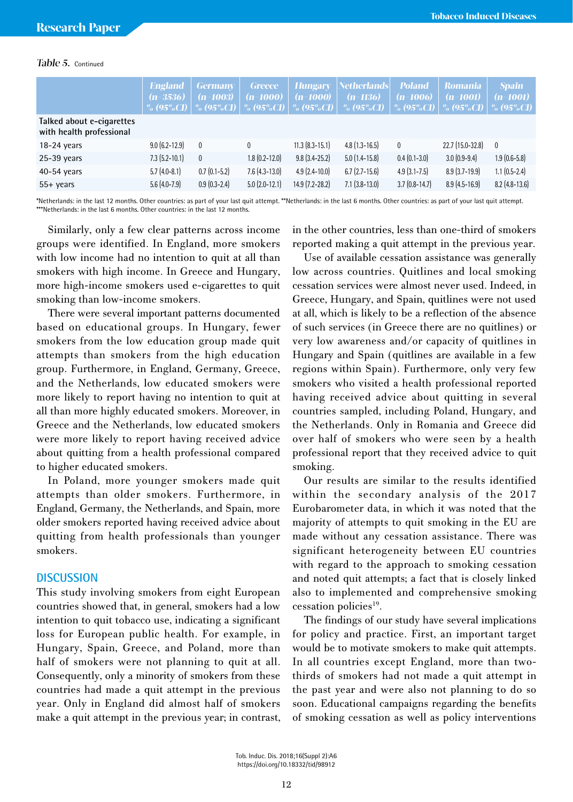### Table 5. Continued

|                                                       | <b>England</b><br>$(n=3536)$<br>$\%$ (95%CI) $\parallel$ | <b>Germany</b><br>$(n=1003)$<br>$\%$ (95%CI) $\parallel$ | <b>Greece</b><br>$(n=1000)$<br>$\%$ (95%CI) $\parallel$ | <i><b>Hungary</b></i><br>$(n=1000)$<br>$\%$ (95%CI) | Netherlands <br>$(n=1136)$<br>% $(95\%$ CI) | <b>Poland</b><br>$(n=1006)$<br>$\%$ (95%CI) $\parallel$ | <b>Romania</b><br>$(n=1001)$<br>$\%$ (95%CI) $\%$ (95%CI) | <b>Spain</b><br>$(n=1001)$ |
|-------------------------------------------------------|----------------------------------------------------------|----------------------------------------------------------|---------------------------------------------------------|-----------------------------------------------------|---------------------------------------------|---------------------------------------------------------|-----------------------------------------------------------|----------------------------|
| Talked about e-cigarettes<br>with health professional |                                                          |                                                          |                                                         |                                                     |                                             |                                                         |                                                           |                            |
| $18-24$ years                                         | $9.0$ (6.2-12.9)                                         | 0                                                        | $\mathbf{0}$                                            | $11.3$ $(8.3 - 15.1)$                               | $4.8(1.3 - 16.5)$                           | $\mathbf{0}$                                            | $22.7(15.0-32.8)$                                         | $\overline{0}$             |
| $25-39$ years                                         | $7.3$ (5.2-10.1)                                         | $\mathbf{0}$                                             | $1.8(0.2 - 12.0)$                                       | $9.8(3.4-25.2)$                                     | $5.0(1.4-15.8)$                             | $0.4(0.1-3.0)$                                          | $3.0(0.9-9.4)$                                            | $1.9(0.6-5.8)$             |
| $40-54$ years                                         | $5.7(4.0-8.1)$                                           | $0.7(0.1-5.2)$                                           | $7.6$ (4.3-13.0)                                        | $4.9(2.4-10.0)$                                     | $6.7(2.7-15.6)$                             | $4.9$ $(3.1 - 7.5)$                                     | $8.9(3.7-19.9)$                                           | $1.1$ $(0.5-2.4)$          |
| $55+$ years                                           | $5.6(4.0-7.9)$                                           | $0.9(0.3-2.4)$                                           | $5.0$ (2.0-12.1)                                        | $14.9$ (7.2-28.2)                                   | $7.1$ $(3.8-13.0)$                          | $3.7(0.8-14.7)$                                         | $8.9(4.5-16.9)$                                           | $8.2$ (4.8-13.6)           |

\*Netherlands: in the last 12 months. Other countries: as part of your last quit attempt. \*\*Netherlands: in the last 6 months. Other countries: as part of your last quit attempt. \*\*\*Netherlands: in the last 6 months. Other countries: in the last 12 months.

Similarly, only a few clear patterns across income groups were identified. In England, more smokers with low income had no intention to quit at all than smokers with high income. In Greece and Hungary, more high-income smokers used e-cigarettes to quit smoking than low-income smokers.

There were several important patterns documented based on educational groups. In Hungary, fewer smokers from the low education group made quit attempts than smokers from the high education group. Furthermore, in England, Germany, Greece, and the Netherlands, low educated smokers were more likely to report having no intention to quit at all than more highly educated smokers. Moreover, in Greece and the Netherlands, low educated smokers were more likely to report having received advice about quitting from a health professional compared to higher educated smokers.

In Poland, more younger smokers made quit attempts than older smokers. Furthermore, in England, Germany, the Netherlands, and Spain, more older smokers reported having received advice about quitting from health professionals than younger smokers.

### **DISCUSSION**

This study involving smokers from eight European countries showed that, in general, smokers had a low intention to quit tobacco use, indicating a significant loss for European public health. For example, in Hungary, Spain, Greece, and Poland, more than half of smokers were not planning to quit at all. Consequently, only a minority of smokers from these countries had made a quit attempt in the previous year. Only in England did almost half of smokers make a quit attempt in the previous year; in contrast, in the other countries, less than one-third of smokers reported making a quit attempt in the previous year.

Use of available cessation assistance was generally low across countries. Quitlines and local smoking cessation services were almost never used. Indeed, in Greece, Hungary, and Spain, quitlines were not used at all, which is likely to be a reflection of the absence of such services (in Greece there are no quitlines) or very low awareness and/or capacity of quitlines in Hungary and Spain (quitlines are available in a few regions within Spain). Furthermore, only very few smokers who visited a health professional reported having received advice about quitting in several countries sampled, including Poland, Hungary, and the Netherlands. Only in Romania and Greece did over half of smokers who were seen by a health professional report that they received advice to quit smoking.

Our results are similar to the results identified within the secondary analysis of the 2017 Eurobarometer data, in which it was noted that the majority of attempts to quit smoking in the EU are made without any cessation assistance. There was significant heterogeneity between EU countries with regard to the approach to smoking cessation and noted quit attempts; a fact that is closely linked also to implemented and comprehensive smoking cessation policies<sup>19</sup>.

The findings of our study have several implications for policy and practice. First, an important target would be to motivate smokers to make quit attempts. In all countries except England, more than twothirds of smokers had not made a quit attempt in the past year and were also not planning to do so soon. Educational campaigns regarding the benefits of smoking cessation as well as policy interventions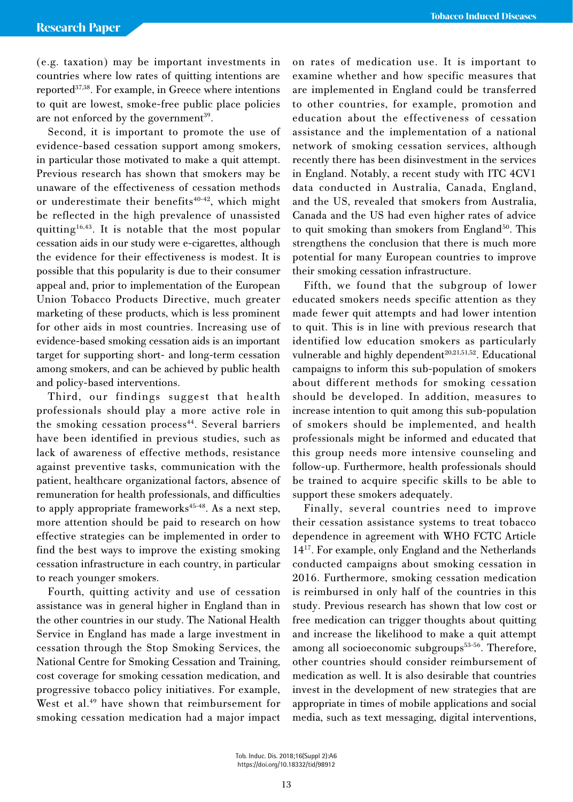(e.g. taxation) may be important investments in countries where low rates of quitting intentions are reported37,38. For example, in Greece where intentions to quit are lowest, smoke-free public place policies are not enforced by the government<sup>39</sup>.

Second, it is important to promote the use of evidence-based cessation support among smokers, in particular those motivated to make a quit attempt. Previous research has shown that smokers may be unaware of the effectiveness of cessation methods or underestimate their benefits $40-42$ , which might be reflected in the high prevalence of unassisted quitting16,43. It is notable that the most popular cessation aids in our study were e-cigarettes, although the evidence for their effectiveness is modest. It is possible that this popularity is due to their consumer appeal and, prior to implementation of the European Union Tobacco Products Directive, much greater marketing of these products, which is less prominent for other aids in most countries. Increasing use of evidence-based smoking cessation aids is an important target for supporting short- and long-term cessation among smokers, and can be achieved by public health and policy-based interventions.

Third, our findings suggest that health professionals should play a more active role in the smoking cessation process<sup>44</sup>. Several barriers have been identified in previous studies, such as lack of awareness of effective methods, resistance against preventive tasks, communication with the patient, healthcare organizational factors, absence of remuneration for health professionals, and difficulties to apply appropriate frameworks<sup>45-48</sup>. As a next step, more attention should be paid to research on how effective strategies can be implemented in order to find the best ways to improve the existing smoking cessation infrastructure in each country, in particular to reach younger smokers.

Fourth, quitting activity and use of cessation assistance was in general higher in England than in the other countries in our study. The National Health Service in England has made a large investment in cessation through the Stop Smoking Services, the National Centre for Smoking Cessation and Training, cost coverage for smoking cessation medication, and progressive tobacco policy initiatives. For example, West et al.<sup>49</sup> have shown that reimbursement for smoking cessation medication had a major impact on rates of medication use. It is important to examine whether and how specific measures that are implemented in England could be transferred to other countries, for example, promotion and education about the effectiveness of cessation assistance and the implementation of a national network of smoking cessation services, although recently there has been disinvestment in the services in England. Notably, a recent study with ITC 4CV1 data conducted in Australia, Canada, England, and the US, revealed that smokers from Australia, Canada and the US had even higher rates of advice to quit smoking than smokers from England<sup>50</sup>. This strengthens the conclusion that there is much more potential for many European countries to improve their smoking cessation infrastructure.

Fifth, we found that the subgroup of lower educated smokers needs specific attention as they made fewer quit attempts and had lower intention to quit. This is in line with previous research that identified low education smokers as particularly vulnerable and highly dependent<sup>20,21,51,52</sup>. Educational campaigns to inform this sub-population of smokers about different methods for smoking cessation should be developed. In addition, measures to increase intention to quit among this sub-population of smokers should be implemented, and health professionals might be informed and educated that this group needs more intensive counseling and follow-up. Furthermore, health professionals should be trained to acquire specific skills to be able to support these smokers adequately.

Finally, several countries need to improve their cessation assistance systems to treat tobacco dependence in agreement with WHO FCTC Article 1417. For example, only England and the Netherlands conducted campaigns about smoking cessation in 2016. Furthermore, smoking cessation medication is reimbursed in only half of the countries in this study. Previous research has shown that low cost or free medication can trigger thoughts about quitting and increase the likelihood to make a quit attempt among all socioeconomic subgroups<sup>53-56</sup>. Therefore, other countries should consider reimbursement of medication as well. It is also desirable that countries invest in the development of new strategies that are appropriate in times of mobile applications and social media, such as text messaging, digital interventions,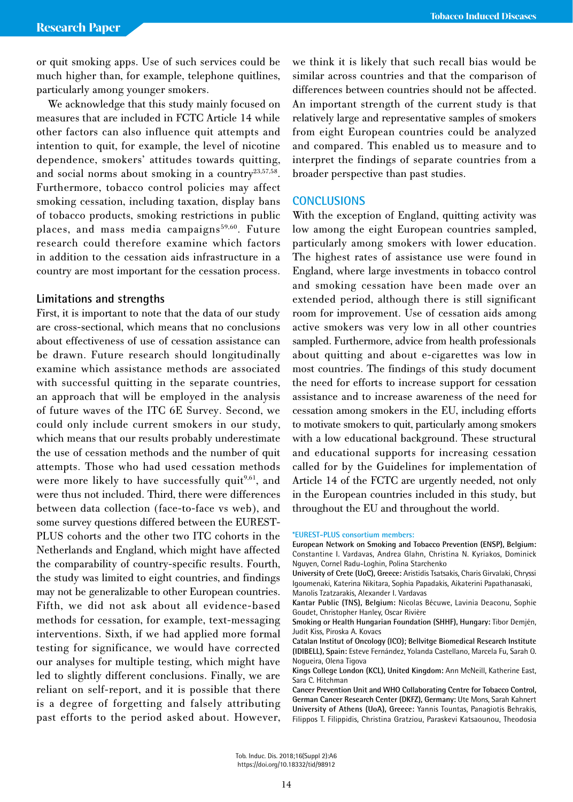or quit smoking apps. Use of such services could be much higher than, for example, telephone quitlines, particularly among younger smokers.

We acknowledge that this study mainly focused on measures that are included in FCTC Article 14 while other factors can also influence quit attempts and intention to quit, for example, the level of nicotine dependence, smokers' attitudes towards quitting, and social norms about smoking in a country<sup>23,57,58</sup>. Furthermore, tobacco control policies may affect smoking cessation, including taxation, display bans of tobacco products, smoking restrictions in public places, and mass media campaigns<sup>59,60</sup>. Future research could therefore examine which factors in addition to the cessation aids infrastructure in a country are most important for the cessation process.

### **Limitations and strengths**

First, it is important to note that the data of our study are cross-sectional, which means that no conclusions about effectiveness of use of cessation assistance can be drawn. Future research should longitudinally examine which assistance methods are associated with successful quitting in the separate countries, an approach that will be employed in the analysis of future waves of the ITC 6E Survey. Second, we could only include current smokers in our study, which means that our results probably underestimate the use of cessation methods and the number of quit attempts. Those who had used cessation methods were more likely to have successfully quit<sup>9,61</sup>, and were thus not included. Third, there were differences between data collection (face-to-face vs web), and some survey questions differed between the EUREST-PLUS cohorts and the other two ITC cohorts in the Netherlands and England, which might have affected the comparability of country-specific results. Fourth, the study was limited to eight countries, and findings may not be generalizable to other European countries. Fifth, we did not ask about all evidence-based methods for cessation, for example, text-messaging interventions. Sixth, if we had applied more formal testing for significance, we would have corrected our analyses for multiple testing, which might have led to slightly different conclusions. Finally, we are reliant on self-report, and it is possible that there is a degree of forgetting and falsely attributing past efforts to the period asked about. However, we think it is likely that such recall bias would be similar across countries and that the comparison of differences between countries should not be affected. An important strength of the current study is that relatively large and representative samples of smokers from eight European countries could be analyzed and compared. This enabled us to measure and to interpret the findings of separate countries from a broader perspective than past studies.

### **CONCLUSIONS**

With the exception of England, quitting activity was low among the eight European countries sampled, particularly among smokers with lower education. The highest rates of assistance use were found in England, where large investments in tobacco control and smoking cessation have been made over an extended period, although there is still significant room for improvement. Use of cessation aids among active smokers was very low in all other countries sampled. Furthermore, advice from health professionals about quitting and about e-cigarettes was low in most countries. The findings of this study document the need for efforts to increase support for cessation assistance and to increase awareness of the need for cessation among smokers in the EU, including efforts to motivate smokers to quit, particularly among smokers with a low educational background. These structural and educational supports for increasing cessation called for by the Guidelines for implementation of Article 14 of the FCTC are urgently needed, not only in the European countries included in this study, but throughout the EU and throughout the world.

### **\*EUREST-PLUS consortium members:**

**European Network on Smoking and Tobacco Prevention (ENSP), Belgium:**  Constantine I. Vardavas, Andrea Glahn, Christina N. Kyriakos, Dominick Nguyen, Cornel Radu-Loghin, Polina Starchenko

**University of Crete (UoC), Greece:** Aristidis Tsatsakis, Charis Girvalaki, Chryssi Igoumenaki, Katerina Nikitara, Sophia Papadakis, Aikaterini Papathanasaki, Manolis Tzatzarakis, Alexander I. Vardavas

**Kantar Public (TNS), Belgium:** Nicolas Bécuwe, Lavinia Deaconu, Sophie Goudet, Christopher Hanley, Oscar Rivière

**Smoking or Health Hungarian Foundation (SHHF), Hungary:** Tibor Demjén, Judit Kiss, Piroska A. Kovacs

**Catalan Institut of Oncology (ICO); Bellvitge Biomedical Research Institute (IDIBELL), Spain:** Esteve Fernández, Yolanda Castellano, Marcela Fu, Sarah O. Nogueira, Olena Tigova

**Kings College London (KCL), United Kingdom:** Ann McNeill, Katherine East, Sara C. Hitchman

**Cancer Prevention Unit and WHO Collaborating Centre for Tobacco Control, German Cancer Research Center (DKFZ), Germany:** Ute Mons, Sarah Kahnert **University of Athens (UoA), Greece:** Yannis Tountas, Panagiotis Behrakis, Filippos T. Filippidis, Christina Gratziou, Paraskevi Katsaounou, Theodosia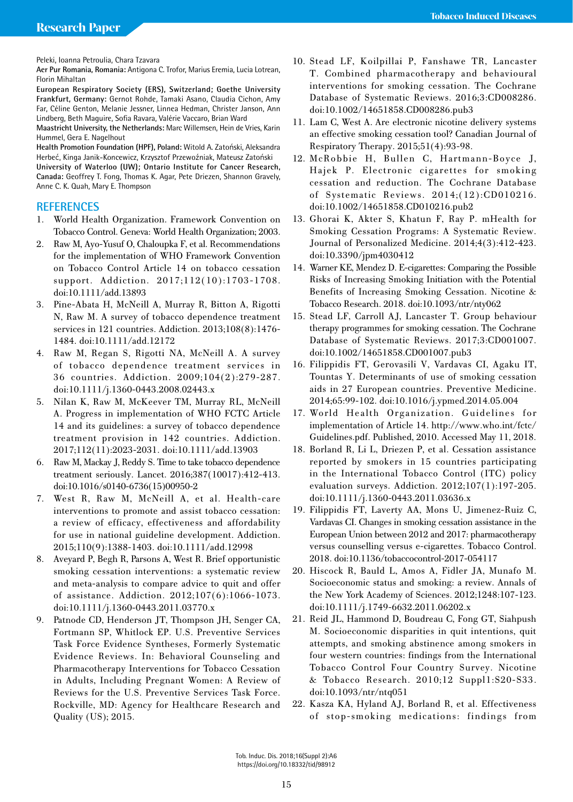Peleki, Ioanna Petroulia, Chara Tzavara

**Aer Pur Romania, Romania:** Antigona C. Trofor, Marius Eremia, Lucia Lotrean, Florin Mihaltan

**European Respiratory Society (ERS), Switzerland; Goethe University Frankfurt, Germany:** Gernot Rohde, Tamaki Asano, Claudia Cichon, Amy Far, Céline Genton, Melanie Jessner, Linnea Hedman, Christer Janson, Ann Lindberg, Beth Maguire, Sofia Ravara, Valérie Vaccaro, Brian Ward

**Maastricht University, the Netherlands:** Marc Willemsen, Hein de Vries, Karin Hummel, Gera E. Nagelhout

**Health Promotion Foundation (HPF), Poland:** Witold A. Zatoński, Aleksandra Herbeć, Kinga Janik-Koncewicz, Krzysztof Przewoźniak, Mateusz Zatoński

**University of Waterloo (UW); Ontario Institute for Cancer Research, Canada:** Geoffrey T. Fong, Thomas K. Agar, Pete Driezen, Shannon Gravely, Anne C. K. Quah, Mary E. Thompson

### **REFERENCES**

- 1. World Health Organization. Framework Convention on Tobacco Control. Geneva: World Health Organization; 2003.
- 2. Raw M, Ayo-Yusuf O, Chaloupka F, et al. Recommendations for the implementation of WHO Framework Convention on Tobacco Control Article 14 on tobacco cessation support. Addiction. 2017;112(10):1703-1708. doi:10.1111/add.13893
- 3. Pine-Abata H, McNeill A, Murray R, Bitton A, Rigotti N, Raw M. A survey of tobacco dependence treatment services in 121 countries. Addiction. 2013;108(8):1476- 1484. doi:10.1111/add.12172
- 4. Raw M, Regan S, Rigotti NA, McNeill A. A survey of tobacco dependence treatment services in 36 countries. Addiction. 2009;104(2):279-287. doi:10.1111/j.1360-0443.2008.02443.x
- 5. Nilan K, Raw M, McKeever TM, Murray RL, McNeill A. Progress in implementation of WHO FCTC Article 14 and its guidelines: a survey of tobacco dependence treatment provision in 142 countries. Addiction. 2017;112(11):2023-2031. doi:10.1111/add.13903
- 6. Raw M, Mackay J, Reddy S. Time to take tobacco dependence treatment seriously. Lancet. 2016;387(10017):412-413. doi:10.1016/s0140-6736(15)00950-2
- 7. West R, Raw M, McNeill A, et al. Health-care interventions to promote and assist tobacco cessation: a review of efficacy, effectiveness and affordability for use in national guideline development. Addiction. 2015;110(9):1388-1403. doi:10.1111/add.12998
- 8. Aveyard P, Begh R, Parsons A, West R. Brief opportunistic smoking cessation interventions: a systematic review and meta-analysis to compare advice to quit and offer of assistance. Addiction. 2012;107(6):1066-1073. doi:10.1111/j.1360-0443.2011.03770.x
- 9. Patnode CD, Henderson JT, Thompson JH, Senger CA, Fortmann SP, Whitlock EP. U.S. Preventive Services Task Force Evidence Syntheses, Formerly Systematic Evidence Reviews. In: Behavioral Counseling and Pharmacotherapy Interventions for Tobacco Cessation in Adults, Including Pregnant Women: A Review of Reviews for the U.S. Preventive Services Task Force. Rockville, MD: Agency for Healthcare Research and Quality (US); 2015.
- 10. Stead LF, Koilpillai P, Fanshawe TR, Lancaster T. Combined pharmacotherapy and behavioural interventions for smoking cessation. The Cochrane Database of Systematic Reviews. 2016;3:CD008286. doi:10.1002/14651858.CD008286.pub3
- 11. Lam C, West A. Are electronic nicotine delivery systems an effective smoking cessation tool? Canadian Journal of Respiratory Therapy. 2015;51(4):93-98.
- 12. McRobbie H, Bullen C, Hartmann-Boyce J, Hajek P. Electronic cigarettes for smoking cessation and reduction. The Cochrane Database of Systematic Reviews. 2014;(12):CD010216. doi:10.1002/14651858.CD010216.pub2
- 13. Ghorai K, Akter S, Khatun F, Ray P. mHealth for Smoking Cessation Programs: A Systematic Review. Journal of Personalized Medicine. 2014;4(3):412-423. doi:10.3390/jpm4030412
- 14. Warner KE, Mendez D. E-cigarettes: Comparing the Possible Risks of Increasing Smoking Initiation with the Potential Benefits of Increasing Smoking Cessation. Nicotine & Tobacco Research. 2018. doi:10.1093/ntr/nty062
- 15. Stead LF, Carroll AJ, Lancaster T. Group behaviour therapy programmes for smoking cessation. The Cochrane Database of Systematic Reviews. 2017;3:CD001007. doi:10.1002/14651858.CD001007.pub3
- 16. Filippidis FT, Gerovasili V, Vardavas CI, Agaku IT, Tountas Y. Determinants of use of smoking cessation aids in 27 European countries. Preventive Medicine. 2014;65:99-102. doi:10.1016/j.ypmed.2014.05.004
- 17. World Health Organization. Guidelines for implementation of Article 14. http://www.who.int/fctc/ Guidelines.pdf. Published, 2010. Accessed May 11, 2018.
- 18. Borland R, Li L, Driezen P, et al. Cessation assistance reported by smokers in 15 countries participating in the International Tobacco Control (ITC) policy evaluation surveys. Addiction. 2012;107(1):197-205. doi:10.1111/j.1360-0443.2011.03636.x
- 19. Filippidis FT, Laverty AA, Mons U, Jimenez-Ruiz C, Vardavas CI. Changes in smoking cessation assistance in the European Union between 2012 and 2017: pharmacotherapy versus counselling versus e-cigarettes. Tobacco Control. 2018. doi:10.1136/tobaccocontrol-2017-054117
- 20. Hiscock R, Bauld L, Amos A, Fidler JA, Munafo M. Socioeconomic status and smoking: a review. Annals of the New York Academy of Sciences. 2012;1248:107-123. doi:10.1111/j.1749-6632.2011.06202.x
- 21. Reid JL, Hammond D, Boudreau C, Fong GT, Siahpush M. Socioeconomic disparities in quit intentions, quit attempts, and smoking abstinence among smokers in four western countries: findings from the International Tobacco Control Four Country Survey. Nicotine & Tobacco Research. 2010;12 Suppl1:S20-S33. doi:10.1093/ntr/ntq051
- 22. Kasza KA, Hyland AJ, Borland R, et al. Effectiveness of stop-smoking medications: findings from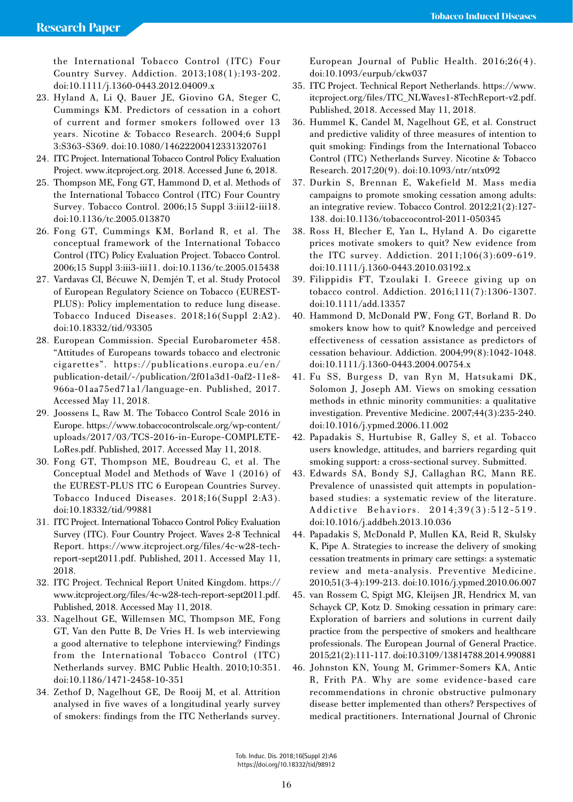the International Tobacco Control (ITC) Four Country Survey. Addiction. 2013;108(1):193-202. doi:10.1111/j.1360-0443.2012.04009.x

- 23. Hyland A, Li Q, Bauer JE, Giovino GA, Steger C, Cummings KM. Predictors of cessation in a cohort of current and former smokers followed over 13 years. Nicotine & Tobacco Research. 2004;6 Suppl 3:S363-S369. doi:10.1080/14622200412331320761
- 24. ITC Project. International Tobacco Control Policy Evaluation Project. www.itcproject.org. 2018. Accessed June 6, 2018.
- 25. Thompson ME, Fong GT, Hammond D, et al. Methods of the International Tobacco Control (ITC) Four Country Survey. Tobacco Control. 2006;15 Suppl 3:iii12-iii18. doi:10.1136/tc.2005.013870
- 26. Fong GT, Cummings KM, Borland R, et al. The conceptual framework of the International Tobacco Control (ITC) Policy Evaluation Project. Tobacco Control. 2006;15 Suppl 3:iii3-iii11. doi:10.1136/tc.2005.015438
- 27. Vardavas CI, Bécuwe N, Demjén T, et al. Study Protocol of European Regulatory Science on Tobacco (EUREST-PLUS): Policy implementation to reduce lung disease. Tobacco Induced Diseases. 2018;16(Suppl 2:A2). doi:10.18332/tid/93305
- 28. European Commission. Special Eurobarometer 458. "Attitudes of Europeans towards tobacco and electronic cigarettes". https://publications.europa.eu/en/ publication-detail/-/publication/2f01a3d1-0af2-11e8- 966a-01aa75ed71a1/language-en. Published, 2017. Accessed May 11, 2018.
- 29. Joossens L, Raw M. The Tobacco Control Scale 2016 in Europe. https://www.tobaccocontrolscale.org/wp-content/ uploads/2017/03/TCS-2016-in-Europe-COMPLETE-LoRes.pdf. Published, 2017. Accessed May 11, 2018.
- 30. Fong GT, Thompson ME, Boudreau C, et al. The Conceptual Model and Methods of Wave 1 (2016) of the EUREST-PLUS ITC 6 European Countries Survey. Tobacco Induced Diseases. 2018;16(Suppl 2:Α3). doi:10.18332/tid/99881
- 31. ITC Project. International Tobacco Control Policy Evaluation Survey (ITC). Four Country Project. Waves 2-8 Technical Report. https://www.itcproject.org/files/4c-w28-techreport-sept2011.pdf. Published, 2011. Accessed May 11, 2018.
- 32. ITC Project. Technical Report United Kingdom. https:// www.itcproject.org/files/4c-w28-tech-report-sept2011.pdf. Published, 2018. Accessed May 11, 2018.
- 33. Nagelhout GE, Willemsen MC, Thompson ME, Fong GT, Van den Putte B, De Vries H. Is web interviewing a good alternative to telephone interviewing? Findings from the International Tobacco Control (ITC) Netherlands survey. BMC Public Health. 2010;10:351. doi:10.1186/1471-2458-10-351
- 34. Zethof D, Nagelhout GE, De Rooij M, et al. Attrition analysed in five waves of a longitudinal yearly survey of smokers: findings from the ITC Netherlands survey.

European Journal of Public Health. 2016;26(4). doi:10.1093/eurpub/ckw037

- 35. ITC Project. Technical Report Netherlands. https://www. itcproject.org/files/ITC\_NLWaves1-8TechReport-v2.pdf. Published, 2018. Accessed May 11, 2018.
- 36. Hummel K, Candel M, Nagelhout GE, et al. Construct and predictive validity of three measures of intention to quit smoking: Findings from the International Tobacco Control (ITC) Netherlands Survey. Nicotine & Tobacco Research. 2017;20(9). doi:10.1093/ntr/ntx092
- 37. Durkin S, Brennan E, Wakefield M. Mass media campaigns to promote smoking cessation among adults: an integrative review. Tobacco Control. 2012;21(2):127- 138. doi:10.1136/tobaccocontrol-2011-050345
- 38. Ross H, Blecher E, Yan L, Hyland A. Do cigarette prices motivate smokers to quit? New evidence from the ITC survey. Addiction. 2011;106(3):609-619. doi:10.1111/j.1360-0443.2010.03192.x
- 39. Filippidis FT, Tzoulaki I. Greece giving up on tobacco control. Addiction. 2016;111(7):1306-1307. doi:10.1111/add.13357
- 40. Hammond D, McDonald PW, Fong GT, Borland R. Do smokers know how to quit? Knowledge and perceived effectiveness of cessation assistance as predictors of cessation behaviour. Addiction. 2004;99(8):1042-1048. doi:10.1111/j.1360-0443.2004.00754.x
- 41. Fu SS, Burgess D, van Ryn M, Hatsukami DK, Solomon J, Joseph AM. Views on smoking cessation methods in ethnic minority communities: a qualitative investigation. Preventive Medicine. 2007;44(3):235-240. doi:10.1016/j.ypmed.2006.11.002
- 42. Papadakis S, Hurtubise R, Galley S, et al. Tobacco users knowledge, attitudes, and barriers regarding quit smoking support: a cross-sectional survey. Submitted.
- 43. Edwards SA, Bondy SJ, Callaghan RC, Mann RE. Prevalence of unassisted quit attempts in populationbased studies: a systematic review of the literature. Addictive Behaviors. 2014;39(3):512-519. doi:10.1016/j.addbeh.2013.10.036
- 44. Papadakis S, McDonald P, Mullen KA, Reid R, Skulsky K, Pipe A. Strategies to increase the delivery of smoking cessation treatments in primary care settings: a systematic review and meta-analysis. Preventive Medicine. 2010;51(3-4):199-213. doi:10.1016/j.ypmed.2010.06.007
- 45. van Rossem C, Spigt MG, Kleijsen JR, Hendricx M, van Schayck CP, Kotz D. Smoking cessation in primary care: Exploration of barriers and solutions in current daily practice from the perspective of smokers and healthcare professionals. The European Journal of General Practice. 2015;21(2):111-117. doi:10.3109/13814788.2014.990881
- 46. Johnston KN, Young M, Grimmer-Somers KA, Antic R, Frith PA. Why are some evidence-based care recommendations in chronic obstructive pulmonary disease better implemented than others? Perspectives of medical practitioners. International Journal of Chronic